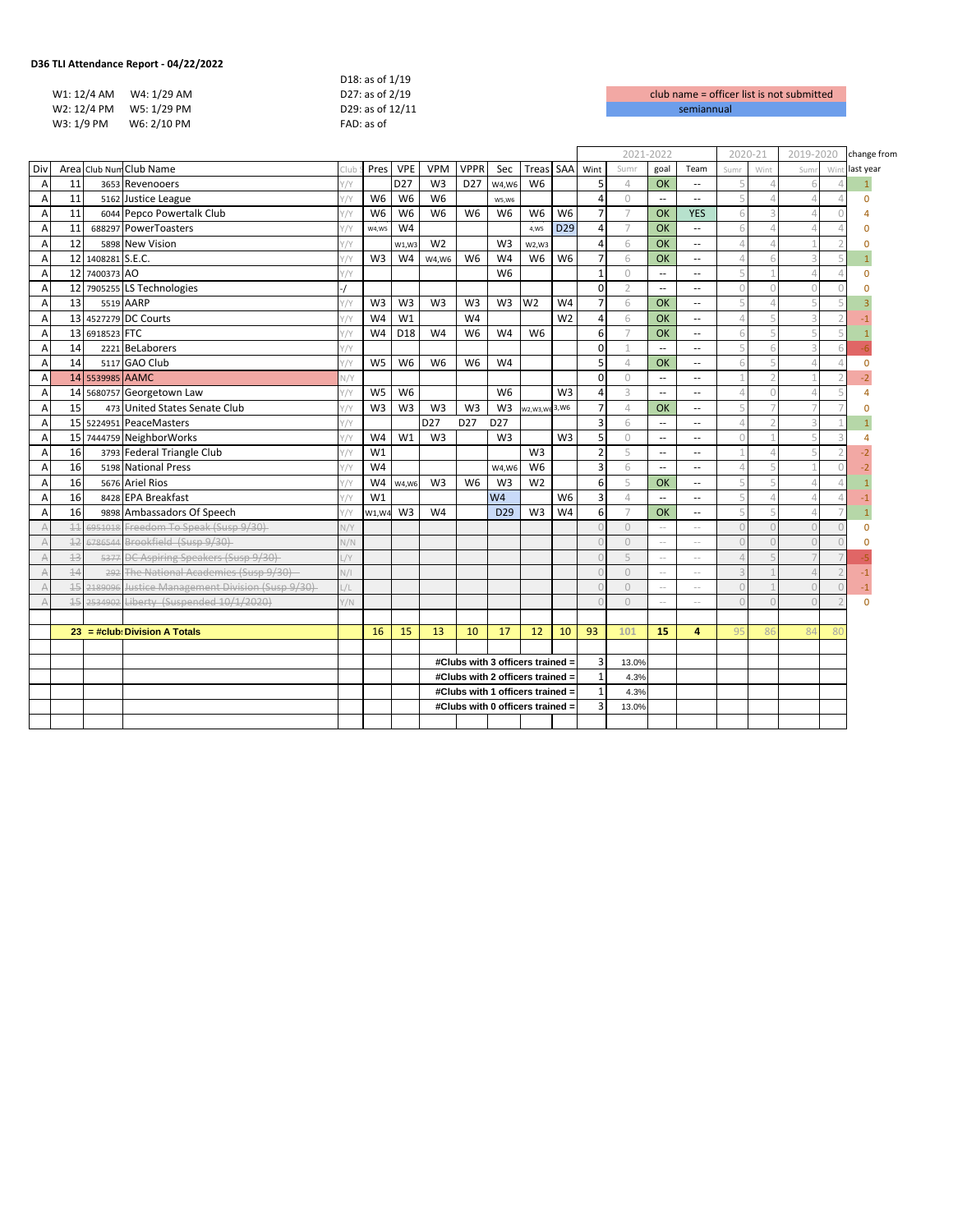| TLI Attendance Report - 04/22/2022 - |                  |                    |
|--------------------------------------|------------------|--------------------|
|                                      | D18: as of 1/19  |                    |
| W1: 12/4 AM W4: 1/29 AM              | D27: as of 2/19  | club name = office |
| W2: 12/4 PM W5: 1/29 PM              | D29: as of 12/11 | semiannual         |
| W3: 1/9 PM<br>W6: 2/10 PM            | FAD: as of       |                    |
|                                      |                  |                    |

|                |          |                   |                                                 |                |                |                 |                 |                 |                                  |                |                 |                          | 2021-2022      |                          |                          | 2020-21   |                | 2019-2020               |     | change from    |
|----------------|----------|-------------------|-------------------------------------------------|----------------|----------------|-----------------|-----------------|-----------------|----------------------------------|----------------|-----------------|--------------------------|----------------|--------------------------|--------------------------|-----------|----------------|-------------------------|-----|----------------|
| Div            |          |                   | Area Club Num Club Name                         | Clul           | Pres           | <b>VPE</b>      | <b>VPM</b>      | <b>VPPR</b>     | Sec                              | Treas          | SAA             | Wint                     | Sumr           | goal                     | Team                     | Sumr      | Wint           | Sum                     | Win | last year      |
| $\overline{A}$ | 11       |                   | 3653 Revenooers                                 | $1/\gamma$     |                | D <sub>27</sub> | W <sub>3</sub>  | D <sub>27</sub> | W4.W6                            | W <sub>6</sub> |                 | 5                        | $\varDelta$    | <b>OK</b>                | $\overline{\phantom{a}}$ | 5         | $\Lambda$      | 6                       |     |                |
| Α              | 11       |                   | 5162 Justice League                             |                | W <sub>6</sub> | W <sub>6</sub>  | W <sub>6</sub>  |                 | W5.W6                            |                |                 | 4                        | $\circ$        | Ξ.                       | $\sim$                   | 5         | $\Lambda$      | $\Lambda$               |     | $\Omega$       |
| Α              | 11       |                   | 6044 Pepco Powertalk Club                       | $\sqrt{}$      | W <sub>6</sub> | W <sub>6</sub>  | W <sub>6</sub>  | W <sub>6</sub>  | W <sub>6</sub>                   | W <sub>6</sub> | W <sub>6</sub>  | $\overline{7}$           | $\overline{7}$ | <b>OK</b>                | <b>YES</b>               | 6         | 3              | $\Delta$                |     |                |
| Α              | 11       |                   | 688297 PowerToasters                            | $1/\sqrt{2}$   | W4,W5          | W <sub>4</sub>  |                 |                 |                                  | 4,W5           | D <sub>29</sub> | 4                        | $\overline{7}$ | OK                       | $\overline{a}$           | 6         | $\Delta$       | $\mathcal{L}$           |     | n              |
| $\overline{A}$ | 12       |                   | 5898 New Vision                                 | $1/\sqrt{2}$   |                | W1.W3           | W <sub>2</sub>  |                 | W <sub>3</sub>                   | W2.W3          |                 | 4                        | 6              | OK                       | $\overline{\phantom{a}}$ | 4         | $\Lambda$      |                         |     | O              |
| $\overline{A}$ |          | 12 1408281 S.E.C. |                                                 |                | W <sub>3</sub> | W <sub>4</sub>  | W4.W6           | W <sub>6</sub>  | W <sub>4</sub>                   | W <sub>6</sub> | W <sub>6</sub>  | $\overline{7}$           | 6              | OK                       | $\sim$ $\sim$            | $\Delta$  |                | 3                       |     |                |
| $\overline{A}$ |          | 12 7400373 AO     |                                                 | $^{\prime}$ /Y |                |                 |                 |                 | W <sub>6</sub>                   |                |                 | 1                        | $\circ$        | $\overline{\phantom{a}}$ | $\overline{a}$           | 5         |                | $\Delta$                |     | $\Omega$       |
| Α              |          |                   | 12 7905255 LS Technologies                      |                |                |                 |                 |                 |                                  |                |                 | $\Omega$                 | $\overline{2}$ | $\overline{\phantom{a}}$ | $\overline{a}$           | $\circ$   | $\cap$         | $\bigcap$               |     | $\Omega$       |
| $\overline{A}$ | 13       |                   | 5519 AARP                                       |                | W <sub>3</sub> | W <sub>3</sub>  | W <sub>3</sub>  | W <sub>3</sub>  | W <sub>3</sub>                   | W <sub>2</sub> | W <sub>4</sub>  | $\overline{7}$           | 6              | <b>OK</b>                | $\overline{a}$           |           |                | 5                       |     |                |
| A              |          |                   | 13 4527279 DC Courts                            |                | W <sub>4</sub> | W <sub>1</sub>  |                 | W4              |                                  |                | W <sub>2</sub>  | $\overline{a}$           | 6              | OK                       | $\overline{\phantom{a}}$ | $\Delta$  |                | 3                       |     |                |
| A              |          | 13 6918523 FTC    |                                                 | //٢            | W4             | D <sub>18</sub> | W <sub>4</sub>  | W <sub>6</sub>  | W <sub>4</sub>                   | W <sub>6</sub> |                 | 6                        | $\overline{7}$ | OK                       | 44                       | 6         |                | $\overline{\mathbb{F}}$ |     |                |
| A              | 14       |                   | 2221 BeLaborers                                 |                |                |                 |                 |                 |                                  |                |                 | 0                        |                | $\sim$                   | $\sim$                   |           |                | $\overline{a}$          |     |                |
| $\overline{A}$ | 14       |                   | 5117 GAO Club                                   |                | W <sub>5</sub> | W <sub>6</sub>  | W <sub>6</sub>  | W <sub>6</sub>  | W4                               |                |                 | 5                        | $\overline{4}$ | OK                       | $\sim$ $\sim$            | 6         |                | Δ                       |     | $\Omega$       |
| $\overline{A}$ |          | 14 5539985 AAMC   |                                                 | N/Y            |                |                 |                 |                 |                                  |                |                 | $\Omega$                 | $\Omega$       | --                       | $\overline{a}$           | 1         | $\overline{2}$ |                         |     | $-2$           |
| Α              |          |                   | 14 5680757 Georgetown Law                       |                | W <sub>5</sub> | W <sub>6</sub>  |                 |                 | W <sub>6</sub>                   |                | W <sub>3</sub>  | $\Delta$                 | 3              | $\overline{\phantom{a}}$ | $\sim$                   | $\Delta$  | $\bigcap$      | $\Delta$                |     | 4              |
| $\overline{A}$ | 15       |                   | 473 United States Senate Club                   |                | W <sub>3</sub> | W <sub>3</sub>  | W <sub>3</sub>  | W <sub>3</sub>  | W <sub>3</sub>                   | W2, W3, W6     | 3,W6            | $\overline{7}$           | $\overline{4}$ | OK                       | $\overline{\phantom{a}}$ |           |                |                         |     | $\Omega$       |
| $\overline{A}$ |          |                   | 15 5224951 PeaceMasters                         | Y/Y            |                |                 | D <sub>27</sub> | D <sub>27</sub> | D <sub>27</sub>                  |                |                 | $\overline{3}$           | 6              | $\overline{a}$           | $\overline{a}$           | $\Delta$  | $\overline{2}$ | $\overline{3}$          |     |                |
| Α              |          |                   | 15 7444759 NeighborWorks                        | Y/Y            | W4             | W <sub>1</sub>  | W <sub>3</sub>  |                 | W <sub>3</sub>                   |                | W <sub>3</sub>  | 5                        | $\circ$        | $\overline{a}$           | 44                       | $\Omega$  |                | 5                       | 3   | 4              |
| $\overline{A}$ | 16       |                   | 3793 Federal Triangle Club                      | $\sqrt{Y}$     | W1             |                 |                 |                 |                                  | W <sub>3</sub> |                 | $\overline{\phantom{a}}$ | 5              | $\overline{\phantom{a}}$ | $\overline{a}$           |           | $\varDelta$    | 5                       |     | $\overline{2}$ |
| $\overline{A}$ | 16       |                   | 5198 National Press                             |                | W4             |                 |                 |                 | W4.W6                            | W <sub>6</sub> |                 | 3                        | 6              | $\overline{a}$           | $\overline{a}$           | $\Delta$  | 5              |                         |     |                |
| $\overline{A}$ | 16       |                   | 5676 Ariel Rios                                 |                | W4             | W4,W6           | W <sub>3</sub>  | W <sub>6</sub>  | W <sub>3</sub>                   | W <sub>2</sub> |                 | 6                        | 5              | <b>OK</b>                | $\sim$ $\sim$            | 5         | 5              | $\Delta$                |     |                |
| A              | 16       |                   | 8428 EPA Breakfast                              |                | W1             |                 |                 |                 | W <sub>4</sub>                   |                | W <sub>6</sub>  | 3                        | $\varDelta$    | $\overline{a}$           | $\sim$                   |           | Δ              |                         |     |                |
| $\overline{A}$ | 16       |                   | 9898 Ambassadors Of Speech                      |                | W1.W4          | W <sub>3</sub>  | W4              |                 | D <sub>29</sub>                  | W <sub>3</sub> | W4              | 6                        | $\overline{7}$ | <b>OK</b>                | $\overline{\phantom{a}}$ |           |                | $\mathcal{L}$           |     |                |
| $\overline{A}$ | $\pm\pm$ |                   | 6951018 Freedom To Speak (Susp 9/30)            | N/Y            |                |                 |                 |                 |                                  |                |                 |                          | $\Omega$       | $\sim$                   | $\sim$                   | $\Omega$  | $\cap$         | $\bigcap$               |     | $\Omega$       |
| $\forall$      | 12       |                   | 6786544 Brookfield (Susp 9/30)                  | N/N            |                |                 |                 |                 |                                  |                |                 |                          | $\Omega$       | $\sim$                   | ÷.                       | $\Omega$  |                | $\bigcap$               |     | O              |
| A              | 13       |                   | 5377 DC Aspiring Speakers (Susp 9/30)           | $\sqrt{Y}$     |                |                 |                 |                 |                                  |                |                 |                          | 5              | $\sim$                   | $\sim$                   | $\Delta$  |                |                         |     |                |
| $\forall$      | 14       |                   | 292 The National Academies (Susp 9/30)          | N/I            |                |                 |                 |                 |                                  |                |                 |                          | $\overline{0}$ | $\sim$                   | $\sim$                   |           |                | Δ                       |     | $-1$           |
| A              | $+5$     |                   | 2189096 Justice Management Division (Susp 9/30) | / L            |                |                 |                 |                 |                                  |                |                 |                          | $\overline{0}$ | $\sim$                   | $\sim$ $-$               | $\Omega$  |                | $\bigcap$               |     | $-1$           |
| $\Delta$       | $+5$     |                   | 2534902 Liberty (Suspended 10/1/2020)           | 1/N            |                |                 |                 |                 |                                  |                |                 |                          | $\Omega$       | $\sim$                   | $\sim$                   | $\bigcap$ |                | $\cap$                  |     | $\Omega$       |
|                |          |                   |                                                 |                |                |                 |                 |                 |                                  |                |                 |                          |                |                          |                          |           |                |                         |     |                |
|                |          |                   | $23 = #club$ : Division A Totals                |                | 16             | 15              | 13              | 10              | 17                               | 12             | 10              | 93                       | 101            | 15                       | 4                        | 95        | Rf             | 84                      | 80  |                |
|                |          |                   |                                                 |                |                |                 |                 |                 |                                  |                |                 |                          |                |                          |                          |           |                |                         |     |                |
|                |          |                   |                                                 |                |                |                 |                 |                 | #Clubs with 3 officers trained = |                |                 | 3                        | 13.0%          |                          |                          |           |                |                         |     |                |
|                |          |                   |                                                 |                |                |                 |                 |                 | #Clubs with 2 officers trained = |                |                 | $\mathbf{1}$             | 4.3%           |                          |                          |           |                |                         |     |                |
|                |          |                   |                                                 |                |                |                 |                 |                 | #Clubs with 1 officers trained = |                |                 | 1                        | 4.3%           |                          |                          |           |                |                         |     |                |
|                |          |                   |                                                 |                |                |                 |                 |                 | #Clubs with 0 officers trained = |                |                 | 3                        | 13.0%          |                          |                          |           |                |                         |     |                |
|                |          |                   |                                                 |                |                |                 |                 |                 |                                  |                |                 |                          |                |                          |                          |           |                |                         |     |                |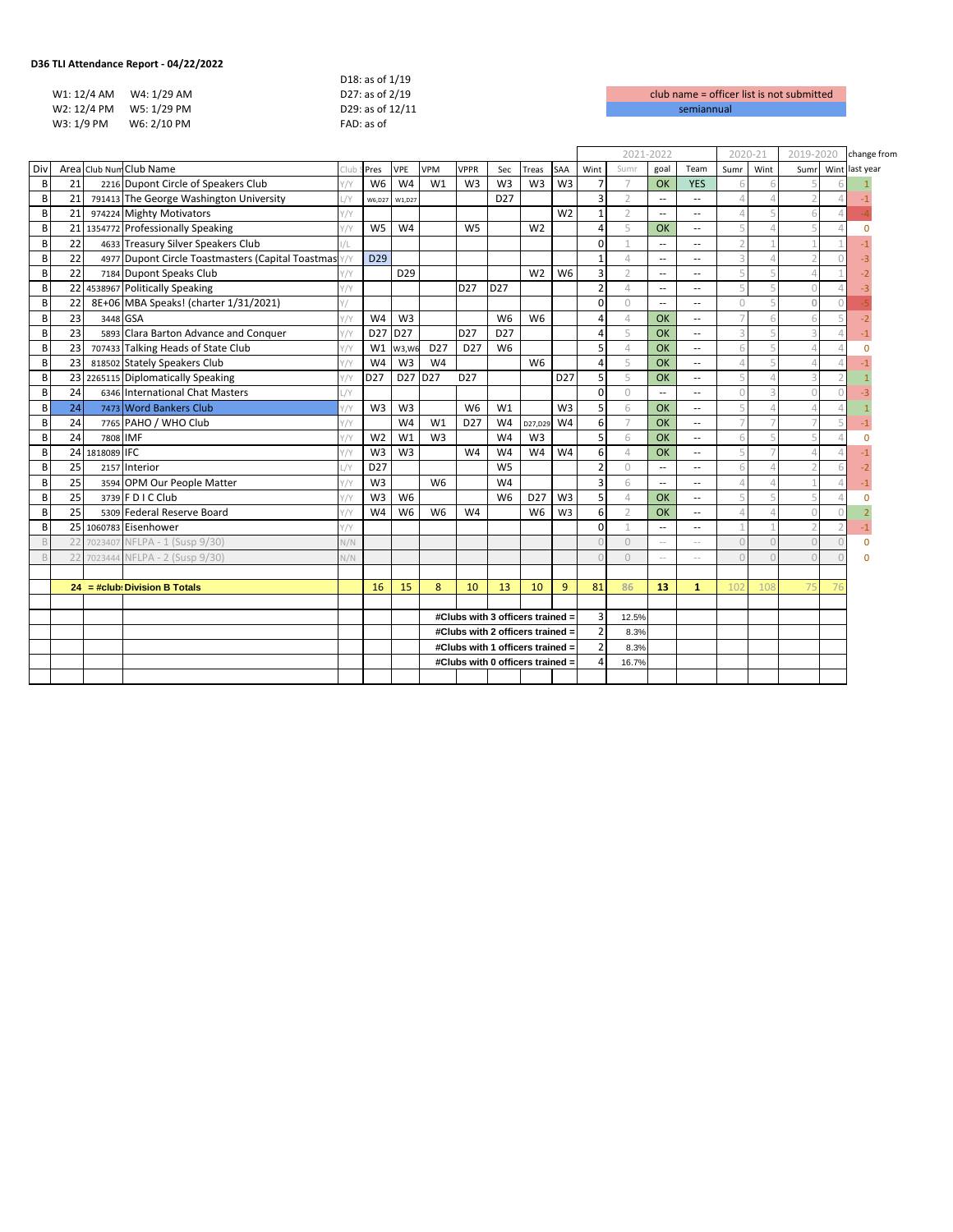| TLI Attendance Report - 04/22/2022 - |             |                  |                    |
|--------------------------------------|-------------|------------------|--------------------|
|                                      |             | D18: as of 1/19  |                    |
| W1: 12/4 AM W4: 1/29 AM              |             | D27: as of 2/19  | club name = office |
| W2: 12/4 PM W5: 1/29 PM              |             | D29: as of 12/11 | semiannual         |
| W3: 1/9 PM                           | W6: 2/10 PM | FAD: as of       |                    |
|                                      |             |                  |                    |

|     |                 |                |                                                   |              |                 |                 |                 |                 |                                  |                 |                 |                | 2021-2022      |                          |                          | 2020-21                  |      | 2019-2020 |            | change from |
|-----|-----------------|----------------|---------------------------------------------------|--------------|-----------------|-----------------|-----------------|-----------------|----------------------------------|-----------------|-----------------|----------------|----------------|--------------------------|--------------------------|--------------------------|------|-----------|------------|-------------|
| Div |                 |                | Area Club Num Club Name                           |              | Pres            | VPE             | <b>VPM</b>      | <b>VPPR</b>     | Sec                              | Treas           | SAA             | Wint           | Sumr           | goal                     | Team                     | Sumr                     | Wint | Sumr      | Wint       | last year   |
| B   | 21              |                | 2216 Dupont Circle of Speakers Club               |              | W <sub>6</sub>  | W <sub>4</sub>  | W1              | W <sub>3</sub>  | W <sub>3</sub>                   | W <sub>3</sub>  | W <sub>3</sub>  | $\overline{7}$ | $\overline{7}$ | OK                       | <b>YES</b>               |                          |      |           |            |             |
| B   | 21              |                | 791413 The George Washington University           | /Y           | W6,D27          | W1,D27          |                 |                 | D <sub>27</sub>                  |                 |                 | 3              | $\overline{2}$ | $\overline{\phantom{a}}$ | $\sim$                   | Δ                        |      |           |            |             |
| B   | 21              |                | 974224 Mighty Motivators                          |              |                 |                 |                 |                 |                                  |                 | W <sub>2</sub>  | $\mathbf{1}$   | $\overline{2}$ | $\overline{\phantom{a}}$ | $\sim$ $-$               |                          |      |           |            |             |
| B   |                 |                | 21 1354772 Professionally Speaking                |              | W <sub>5</sub>  | W <sub>4</sub>  |                 | W <sub>5</sub>  |                                  | W <sub>2</sub>  |                 | 4              | 5              | OK                       | $\overline{\phantom{a}}$ | 5                        |      |           |            |             |
| B   | 22              |                | 4633 Treasury Silver Speakers Club                |              |                 |                 |                 |                 |                                  |                 |                 | $\Omega$       |                | $\overline{\phantom{a}}$ | $\sim$ $\sim$            | $\overline{\phantom{a}}$ |      |           |            |             |
| B   | 22              |                | 4977 Dupont Circle Toastmasters (Capital Toastmas |              | D <sub>29</sub> |                 |                 |                 |                                  |                 |                 | $\mathbf{1}$   | $\varDelta$    | $\overline{\phantom{a}}$ | $\overline{a}$           | $\overline{a}$           |      |           |            |             |
| B   | 22              |                | 7184 Dupont Speaks Club                           | Y/Y          |                 | D <sub>29</sub> |                 |                 |                                  | W <sub>2</sub>  | W <sub>6</sub>  | 3              | $\overline{2}$ | $\overline{a}$           | $\overline{a}$           | 5                        |      |           |            |             |
| B   |                 |                | 22 4538967 Politically Speaking                   | Y/Y          |                 |                 |                 | D <sub>27</sub> | D <sub>27</sub>                  |                 |                 | $\overline{2}$ | $\overline{4}$ | $\overline{\phantom{a}}$ | ٠.                       | 5                        |      |           |            |             |
| B   | 22              |                | 8E+06 MBA Speaks! (charter 1/31/2021)             |              |                 |                 |                 |                 |                                  |                 |                 | $\Omega$       | $\Omega$       | $\overline{\phantom{a}}$ | $\overline{\phantom{a}}$ | $\cup$                   |      | $\Omega$  | $\bigcap$  |             |
| B   | 23              | 3448 GSA       |                                                   |              | W <sub>4</sub>  | W <sub>3</sub>  |                 |                 | W <sub>6</sub>                   | W <sub>6</sub>  |                 | 4              | $\varDelta$    | OK                       | $\sim$ $\sim$            |                          |      |           |            |             |
| B   | 23              |                | 5893 Clara Barton Advance and Conquer             | Y/Y          | D <sub>27</sub> | D <sub>27</sub> |                 | D <sub>27</sub> | D <sub>27</sub>                  |                 |                 | 4              | 5              | OK                       | $\sim$ $\sim$            | 3                        |      |           |            |             |
| B   | 23              |                | 707433 Talking Heads of State Club                | Y/Y          | W1              | W3, W6          | D <sub>27</sub> | D <sub>27</sub> | W <sub>6</sub>                   |                 |                 | 5              | $\overline{4}$ | OK                       | $\sim$ $\sim$            | 6                        |      |           |            |             |
| B   | 23              |                | 818502 Stately Speakers Club                      |              | W <sub>4</sub>  | W <sub>3</sub>  | W <sub>4</sub>  |                 |                                  | W <sub>6</sub>  |                 | 4              | 5              | OK                       | $\sim$ $\sim$            |                          |      |           |            |             |
| B   |                 |                | 23 2265115 Diplomatically Speaking                |              | D <sub>27</sub> | D27 D27         |                 | D <sub>27</sub> |                                  |                 | D <sub>27</sub> | 5              | 5              | OK                       | $\overline{\phantom{a}}$ |                          |      |           |            |             |
| B   | 24              |                | 6346 International Chat Masters                   | /Y           |                 |                 |                 |                 |                                  |                 |                 | $\Omega$       | $\Omega$       | --                       | $\sim$ $\sim$            | $\Omega$                 |      |           |            |             |
| B   | 24              |                | 7473 Word Bankers Club                            | Y/Y          | W <sub>3</sub>  | W <sub>3</sub>  |                 | W <sub>6</sub>  | W1                               |                 | W <sub>3</sub>  | 5              | 6              | OK                       | $\overline{\phantom{a}}$ |                          |      |           |            |             |
| B   | 24              |                | 7765 PAHO / WHO Club                              | Y/Y          |                 | W <sub>4</sub>  | W1              | D <sub>27</sub> | W <sub>4</sub>                   | D27,D29         | W <sub>4</sub>  | 6              | $\overline{7}$ | OK                       | $\overline{a}$           |                          |      |           |            |             |
| B   | 24              | 7808 IMF       |                                                   | $1/\sqrt{2}$ | W <sub>2</sub>  | W1              | W <sub>3</sub>  |                 | W <sub>4</sub>                   | W <sub>3</sub>  |                 | 5              | 6              | OK                       | $\sim$ $\sim$            |                          |      |           |            |             |
| B   |                 | 24 1818089 IFC |                                                   |              | W <sub>3</sub>  | W <sub>3</sub>  |                 | W <sub>4</sub>  | W <sub>4</sub>                   | W <sub>4</sub>  | W <sub>4</sub>  | 6              | $\varDelta$    | OK                       | $\overline{\phantom{a}}$ | 5                        |      |           |            |             |
| B   | 25              |                | 2157 Interior                                     | /            | D <sub>27</sub> |                 |                 |                 | W <sub>5</sub>                   |                 |                 | $\overline{2}$ | $\circ$        | --                       | $\overline{\phantom{a}}$ | 6                        |      |           |            |             |
| B   | 25              |                | 3594 OPM Our People Matter                        |              | W <sub>3</sub>  |                 | W <sub>6</sub>  |                 | W <sub>4</sub>                   |                 |                 | 3              | 6              | $\overline{\phantom{a}}$ | $\sim$ $\sim$            | Δ                        |      |           |            |             |
| B   | $\overline{25}$ |                | 3739 F D I C Club                                 | Y/Y          | W <sub>3</sub>  | W <sub>6</sub>  |                 |                 | W <sub>6</sub>                   | D <sub>27</sub> | W <sub>3</sub>  | 5              | $\varDelta$    | OK                       | $\sim$ $\sim$            |                          |      |           |            |             |
| B   | 25              |                | 5309 Federal Reserve Board                        |              | W <sub>4</sub>  | W <sub>6</sub>  | W <sub>6</sub>  | W <sub>4</sub>  |                                  | W <sub>6</sub>  | W <sub>3</sub>  | 6              | $\overline{2}$ | OK                       | $\sim$                   | Δ                        |      |           |            |             |
| B   |                 |                | 25 1060783 Eisenhower                             |              |                 |                 |                 |                 |                                  |                 |                 | $\Omega$       | 1              | $\overline{\phantom{a}}$ | $\overline{\phantom{a}}$ |                          |      |           |            |             |
| B   |                 | 7023407        | NFLPA - 1 (Susp 9/30)                             | V/N          |                 |                 |                 |                 |                                  |                 |                 |                | $\Omega$       | $\sim$ $-$               | $\sim$ $-$               | $\cap$                   |      |           | $\sqrt{ }$ | $\Omega$    |
| B   | 22              |                | 7023444 NFLPA - 2 (Susp 9/30)                     | N/N          |                 |                 |                 |                 |                                  |                 |                 |                | $\Omega$       | $\sim$ $\sim$            | $\sim$ $\sim$            |                          |      |           |            |             |
|     |                 |                |                                                   |              |                 |                 |                 |                 |                                  |                 |                 |                |                |                          |                          |                          |      |           |            |             |
|     |                 |                | $24 = #club$ : Division B Totals                  |              | 16              | 15              | 8               | 10              | 13                               | 10              | 9               | 81             | 86             | 13                       | $\mathbf{1}$             | 10 <sub>i</sub>          | 108  | 75        | 76         |             |
|     |                 |                |                                                   |              |                 |                 |                 |                 |                                  |                 |                 |                |                |                          |                          |                          |      |           |            |             |
|     |                 |                |                                                   |              |                 |                 |                 |                 | #Clubs with 3 officers trained = |                 |                 | 3              | 12.5%          |                          |                          |                          |      |           |            |             |
|     |                 |                |                                                   |              |                 |                 |                 |                 | #Clubs with 2 officers trained = |                 |                 | $\overline{2}$ | 8.3%           |                          |                          |                          |      |           |            |             |
|     |                 |                |                                                   |              |                 |                 |                 |                 | #Clubs with 1 officers trained = |                 |                 | $\overline{2}$ | 8.3%           |                          |                          |                          |      |           |            |             |
|     |                 |                |                                                   |              |                 |                 |                 |                 | #Clubs with 0 officers trained = |                 |                 | 4              | 16.7%          |                          |                          |                          |      |           |            |             |
|     |                 |                |                                                   |              |                 |                 |                 |                 |                                  |                 |                 |                |                |                          |                          |                          |      |           |            |             |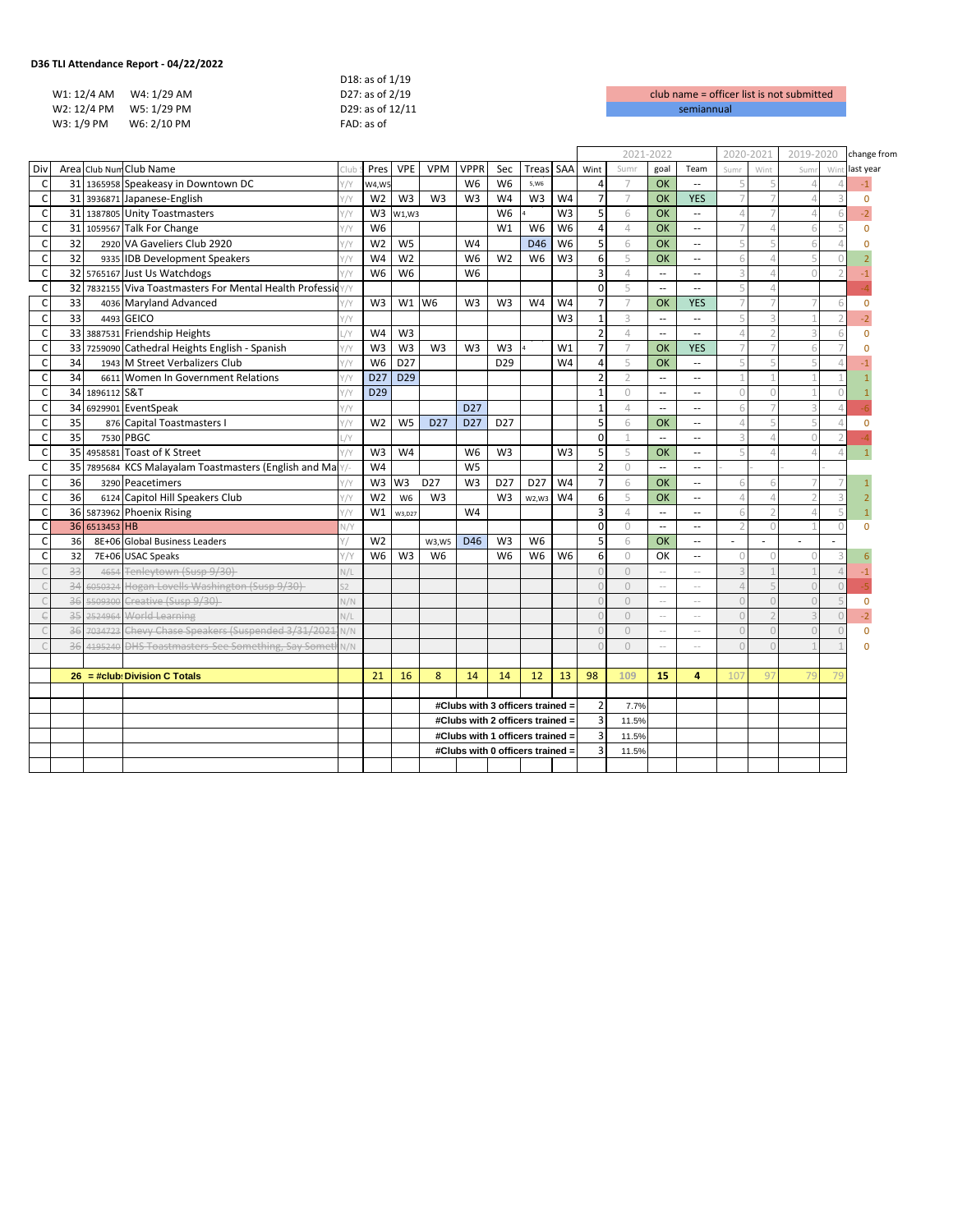| ، TLI Attendance Report - U4/22/2022 |                  |                     |
|--------------------------------------|------------------|---------------------|
|                                      | D18: as of 1/19  |                     |
| W1: 12/4 AM W4: 1/29 AM              | D27: as of 2/19  | club name = $offic$ |
| W2: 12/4 PM W5: 1/29 PM              | D29: as of 12/11 | semiannual          |
| W3: 1/9 PM<br>W6: 2/10 PM            | FAD: as of       |                     |
|                                      |                  |                     |

|              |    |                |                                                         |       |                 |                 |                 |                 |                                  |                 |                |                         | 2021-2022      |                          |                             | 2020-2021                |            | 2019-2020 |            | change from |
|--------------|----|----------------|---------------------------------------------------------|-------|-----------------|-----------------|-----------------|-----------------|----------------------------------|-----------------|----------------|-------------------------|----------------|--------------------------|-----------------------------|--------------------------|------------|-----------|------------|-------------|
| Div          |    |                | Area Club Num Club Name                                 |       | Pres            | <b>VPE</b>      | <b>VPM</b>      | <b>VPPR</b>     | Sec                              | Treas           | SAA            | Wint                    | Sumr           | goal                     | Team                        | Sumr                     | Wint       | Sum       | Wint       | last year   |
| C            |    |                | 31 1365958 Speakeasy in Downtown DC                     | //Y   | W4,W!           |                 |                 | W <sub>6</sub>  | W <sub>6</sub>                   | 5,W6            |                | 4                       | 7              | <b>OK</b>                | $\sim$                      | 5                        |            |           |            |             |
| $\mathsf{C}$ |    |                | 31 3936871 Japanese-English                             | Y/Y   | W <sub>2</sub>  | W3              | W <sub>3</sub>  | W <sub>3</sub>  | W <sub>4</sub>                   | W3              | W <sub>4</sub> | $\overline{7}$          | $\overline{7}$ | OK                       | <b>YES</b>                  | $\overline{7}$           |            |           |            | $\Omega$    |
| $\mathsf{C}$ |    |                | 31 1387805 Unity Toastmasters                           |       | W <sub>3</sub>  | W1,W3           |                 |                 | W <sub>6</sub>                   |                 | W <sub>3</sub> | 5                       | 6              | OK                       | $\sim$                      | $\Delta$                 |            |           |            |             |
| $\mathsf{C}$ |    |                | 31 1059567 Talk For Change                              |       | W <sub>6</sub>  |                 |                 |                 | W1                               | W <sub>6</sub>  | W <sub>6</sub> | $\overline{\mathbf{4}}$ | $\overline{4}$ | OK                       | $\sim$                      | $\overline{7}$           |            |           | 5          | $\Omega$    |
| $\mathsf{C}$ | 32 |                | 2920 VA Gaveliers Club 2920                             |       | W <sub>2</sub>  | W <sub>5</sub>  |                 | W4              |                                  | D46             | W <sub>6</sub> | 5                       | 6              | OK                       | $\sim$ $\sim$               | 5                        |            |           |            |             |
| C            | 32 |                | 9335 IDB Development Speakers                           |       | W <sub>4</sub>  | W <sub>2</sub>  |                 | W <sub>6</sub>  | W <sub>2</sub>                   | W <sub>6</sub>  | W <sub>3</sub> | 6                       | 5              | <b>OK</b>                | $\sim$                      | 6                        |            |           |            |             |
| $\mathsf C$  |    |                | 32 5765167 Just Us Watchdogs                            | Y/Y   | W <sub>6</sub>  | W <sub>6</sub>  |                 | W <sub>6</sub>  |                                  |                 |                | 3                       | $\varDelta$    | $\overline{\phantom{a}}$ | $\sim$ $\sim$               | 3                        |            |           |            |             |
| $\mathsf{C}$ |    |                | 32 7832155 Viva Toastmasters For Mental Health Professi |       |                 |                 |                 |                 |                                  |                 |                | $\mathbf 0$             | 5              | $\overline{\phantom{a}}$ | $\sim$                      |                          |            |           |            |             |
| $\mathsf{C}$ | 33 |                | 4036 Maryland Advanced                                  |       | W <sub>3</sub>  | W1              | W <sub>6</sub>  | W <sub>3</sub>  | W <sub>3</sub>                   | W4              | W <sub>4</sub> | $\overline{7}$          | $\overline{7}$ | OK                       | <b>YES</b>                  |                          |            |           | 6          | $\Omega$    |
| $\mathsf{C}$ | 33 |                | 4493 GEICO                                              | //Y   |                 |                 |                 |                 |                                  |                 | W <sub>3</sub> | $\mathbf{1}$            | 3              | u.                       | $\mathcal{L}_{\mathcal{A}}$ | 5                        |            |           |            |             |
| $\mathsf{C}$ |    |                | 33 3887531 Friendship Heights                           |       | W <sub>4</sub>  | W <sub>3</sub>  |                 |                 |                                  |                 |                | $\overline{2}$          | $\varDelta$    | $\overline{a}$           | $\sim$ $\sim$               |                          |            |           |            |             |
| $\mathsf{C}$ |    |                | 33 7259090 Cathedral Heights English - Spanish          | 7 / Y | W <sub>3</sub>  | W <sub>3</sub>  | W <sub>3</sub>  | W <sub>3</sub>  | W <sub>3</sub>                   |                 | W1             | $\overline{7}$          | $\overline{7}$ | OK                       | <b>YES</b>                  | $\overline{7}$           |            |           |            |             |
| $\mathsf{C}$ | 34 |                | 1943 M Street Verbalizers Club                          |       | W <sub>6</sub>  | D <sub>27</sub> |                 |                 | D <sub>29</sub>                  |                 | W <sub>4</sub> | 4                       | 5              | OK                       | $\sim$                      |                          |            |           |            |             |
| C            | 34 |                | 6611 Women In Government Relations                      | Y/Y   | D <sub>27</sub> | D <sub>29</sub> |                 |                 |                                  |                 |                | $\overline{2}$          | $\overline{2}$ | $\overline{\phantom{a}}$ | $\sim$                      |                          |            |           |            |             |
| $\mathsf{C}$ |    | 34 1896112 S&T |                                                         |       | D <sub>29</sub> |                 |                 |                 |                                  |                 |                | $\mathbf{1}$            | $\circ$        | $\overline{\phantom{a}}$ | $\sim$ $\sim$               | $\Omega$                 |            |           | $\sqrt{ }$ |             |
| C            |    |                | 34 6929901 EventSpeak                                   |       |                 |                 |                 | D <sub>27</sub> |                                  |                 |                | $\mathbf{1}$            | $\varDelta$    | --                       | --                          | 6                        |            |           |            |             |
| $\mathsf{C}$ | 35 |                | 876 Capital Toastmasters I                              | Y/Y   | W <sub>2</sub>  | W <sub>5</sub>  | D <sub>27</sub> | D <sub>27</sub> | D <sub>27</sub>                  |                 |                | 5                       | 6              | OK                       | $\sim$ $\sim$               | $\Delta$                 |            |           | $\Delta$   |             |
| $\mathsf{C}$ | 35 |                | 7530 PBGC                                               |       |                 |                 |                 |                 |                                  |                 |                | $\mathbf 0$             | $\mathcal{I}$  | $\overline{\phantom{a}}$ | $\sim$ $\sim$               | 3                        |            | n         |            |             |
| $\mathsf{C}$ |    |                | 35 4958581 Toast of K Street                            |       | W <sub>3</sub>  | W <sub>4</sub>  |                 | W <sub>6</sub>  | W <sub>3</sub>                   |                 | W <sub>3</sub> | 5                       | 5              | <b>OK</b>                | $\sim$                      | $\overline{\mathbb{F}}$  |            |           | $\Lambda$  |             |
| C            |    |                | 35 7895684 KCS Malayalam Toastmasters (English and Ma   |       | W <sub>4</sub>  |                 |                 | W <sub>5</sub>  |                                  |                 |                | $\overline{2}$          | 0              | $\overline{\phantom{a}}$ | $\sim$                      |                          |            |           |            |             |
| C            | 36 |                | 3290 Peacetimers                                        |       | W <sub>3</sub>  | W3              | D <sub>27</sub> | W <sub>3</sub>  | D <sub>27</sub>                  | D <sub>27</sub> | W <sub>4</sub> | $\overline{7}$          | 6              | <b>OK</b>                | $\sim$ $\sim$               |                          |            |           |            |             |
| $\mathsf{C}$ | 36 |                | 6124 Capitol Hill Speakers Club                         | Y/Y   | W <sub>2</sub>  | W <sub>6</sub>  | W <sub>3</sub>  |                 | W <sub>3</sub>                   | W2, W3          | W4             | 6                       | 5              | OK                       | $\sim$ $\sim$               | $\overline{4}$           |            |           |            |             |
| $\mathsf{C}$ |    |                | 36 5873962 Phoenix Rising                               |       | W1              | W3,D27          |                 | W <sub>4</sub>  |                                  |                 |                | $\overline{3}$          | $\overline{4}$ | $\overline{\phantom{a}}$ | $\sim$ $\sim$               | 6                        |            |           |            |             |
| $\mathsf{C}$ |    | 36 6513453 HB  |                                                         | N/Y   |                 |                 |                 |                 |                                  |                 |                | $\Omega$                | $\cup$         | $\overline{\phantom{a}}$ | $\sim$ $\sim$               | $\overline{\phantom{a}}$ | $\sqrt{ }$ |           | $\bigcap$  |             |
| C            | 36 |                | 8E+06 Global Business Leaders                           |       | W <sub>2</sub>  |                 | W3,W5           | D46             | W <sub>3</sub>                   | W <sub>6</sub>  |                | 5                       | 6              | OK                       | $\sim$                      | ÷.                       | ÷          |           |            |             |
| $\mathsf{C}$ | 32 |                | 7E+06 USAC Speaks                                       | Y/Y   | W <sub>6</sub>  | W <sub>3</sub>  | W <sub>6</sub>  |                 | W <sub>6</sub>                   | W <sub>6</sub>  | W <sub>6</sub> | 6                       | $\circ$        | OK                       | $\sim$                      | $\bigcap$                |            |           |            |             |
|              | 33 | 4654           | Tenleytown (Susp 9/30)                                  | V/L   |                 |                 |                 |                 |                                  |                 |                |                         | $\cup$         | $\sim$                   | $\sim$ $\sim$               |                          |            |           | $\Lambda$  |             |
| $\sqrt{ }$   | 34 | 6050324        | Hogan Lovells Washington (Susp 9/30)                    |       |                 |                 |                 |                 |                                  |                 |                |                         | $\circ$        | $\sim$ $-$               | $\sim$ $\sim$               |                          |            |           | $\sqrt{ }$ |             |
|              | 36 | 5509300        | Creative (Susp 9/30)                                    | N/N   |                 |                 |                 |                 |                                  |                 |                |                         | $\cup$         | $\sim$ $-$               | $\sim$ $-$                  | $\Omega$                 |            |           | 5          | $\Omega$    |
| $\in$        | 35 | 2524964        | World Learning                                          | N/L   |                 |                 |                 |                 |                                  |                 |                |                         | $\Omega$       | $\sim$ $-$               | $\sim$ $-$                  | $\bigcap$                |            |           |            |             |
|              | 36 |                | 7034723 Chevy Chase Speakers (Suspended 3/31/2021       | N/N   |                 |                 |                 |                 |                                  |                 |                |                         | $\Omega$       | $\sim$ $-$               | $\sim$ $\sim$               |                          |            |           | $\cap$     | $\Omega$    |
|              | 36 | 4195240        | <b>DHS Toastmasters-See Something, Say Somet</b>        | N/N   |                 |                 |                 |                 |                                  |                 |                |                         | $\Omega$       | $\sim$                   | $\sim$ $\sim$               | $\cap$                   |            |           |            |             |
|              |    |                |                                                         |       |                 |                 |                 |                 |                                  |                 |                |                         |                |                          |                             |                          |            |           |            |             |
|              |    |                | $26 = #club: Division C Totals$                         |       | 21              | 16              | 8               | 14              | 14                               | 12              | 13             | 98                      | 109            | 15                       | 4                           | 10 <sup>°</sup>          | 97         | 79        |            |             |
|              |    |                |                                                         |       |                 |                 |                 |                 |                                  |                 |                |                         |                |                          |                             |                          |            |           |            |             |
|              |    |                |                                                         |       |                 |                 |                 |                 | #Clubs with 3 officers trained = |                 |                | $\overline{2}$          | 7.7%           |                          |                             |                          |            |           |            |             |
|              |    |                |                                                         |       |                 |                 |                 |                 | #Clubs with 2 officers trained = |                 |                | $\overline{3}$          | 11.5%          |                          |                             |                          |            |           |            |             |
|              |    |                |                                                         |       |                 |                 |                 |                 | #Clubs with 1 officers trained = |                 |                | $\overline{3}$          | 11.5%          |                          |                             |                          |            |           |            |             |
|              |    |                |                                                         |       |                 |                 |                 |                 | #Clubs with 0 officers trained = |                 |                | 3                       | 11.5%          |                          |                             |                          |            |           |            |             |
|              |    |                |                                                         |       |                 |                 |                 |                 |                                  |                 |                |                         |                |                          |                             |                          |            |           |            |             |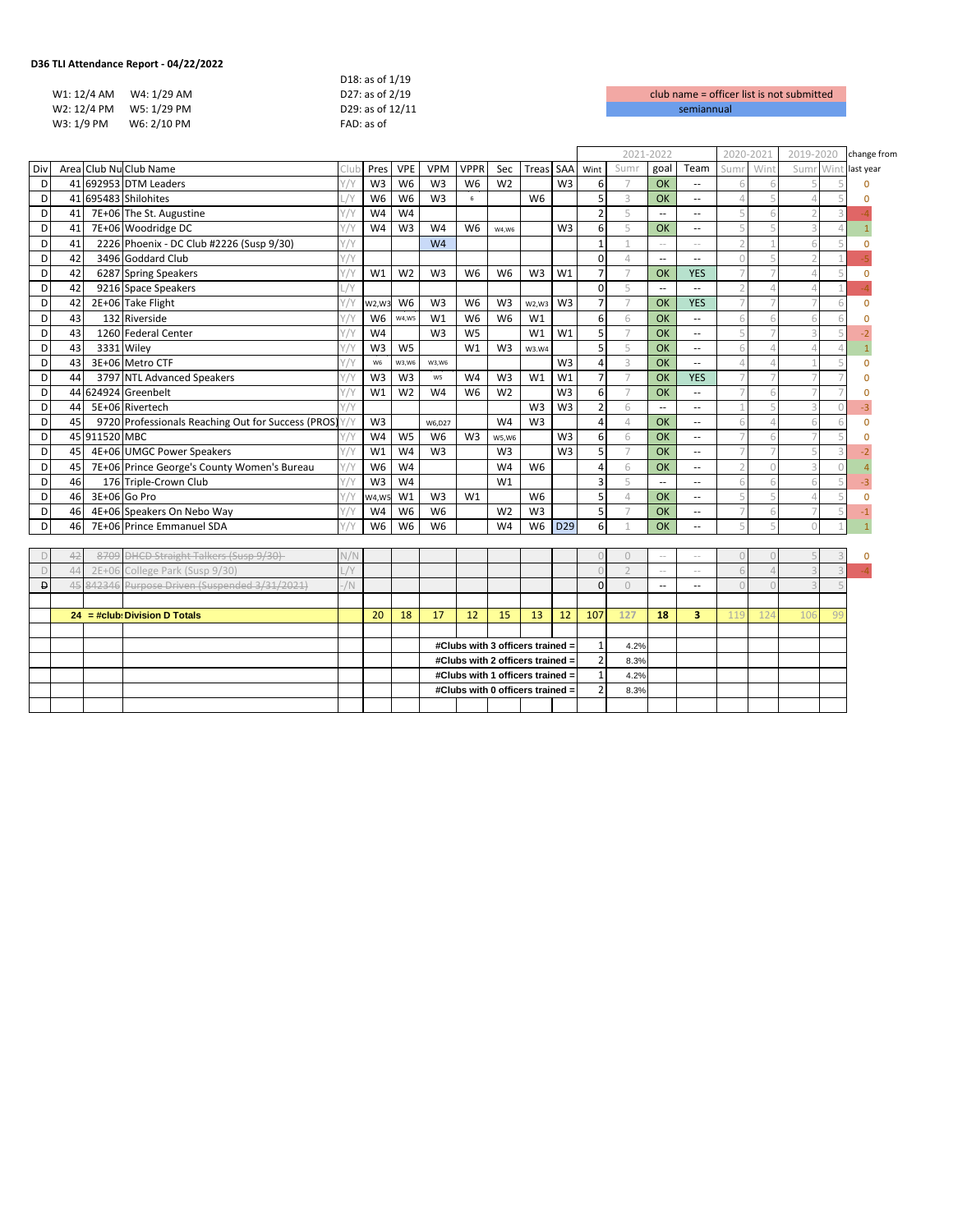|            |                         | D18: as of 1/19  |                    |
|------------|-------------------------|------------------|--------------------|
|            | W1: 12/4 AM W4: 1/29 AM | D27: as of 2/19  | club name = office |
|            | W2: 12/4 PM W5: 1/29 PM | D29: as of 12/11 | semiannual         |
| W3: 1/9 PM | W6: 2/10 PM             | FAD: as of       |                    |
|            |                         |                  |                    |

|          |    |               |                                                      |            |                |                |                                  |                |                                  | 2021-2022      |                |                  | 2020-2021      |                          | 2019-2020                |           | change from             |                |                |                |
|----------|----|---------------|------------------------------------------------------|------------|----------------|----------------|----------------------------------|----------------|----------------------------------|----------------|----------------|------------------|----------------|--------------------------|--------------------------|-----------|-------------------------|----------------|----------------|----------------|
| Div      |    |               | Area Club Nu Club Name                               |            | Pres           | <b>VPE</b>     | <b>VPM</b>                       | <b>VPPR</b>    | Sec                              | Treas          | SAA            | Wint             | Sumr           | goal                     | Team                     | Sumi      | <b>Win</b>              | Sum            | Wint           | last year      |
| D        |    |               | 41 692953 DTM Leaders                                |            | W <sub>3</sub> | W <sub>6</sub> | W <sub>3</sub>                   | W <sub>6</sub> | W <sub>2</sub>                   |                | W <sub>3</sub> | 6                | $\overline{7}$ | OK                       |                          |           |                         |                |                |                |
| D        |    |               | 41 695483 Shilohites                                 | $\sqrt{ }$ | W <sub>6</sub> | W <sub>6</sub> | W <sub>3</sub>                   | 6              |                                  | W <sub>6</sub> |                | 5                | 3              | OK                       | $\overline{a}$           | $\Lambda$ | $\overline{\mathbb{Q}}$ | $\mathcal{L}$  |                |                |
| D        | 41 |               | 7E+06 The St. Augustine                              |            | W <sub>4</sub> | W <sub>4</sub> |                                  |                |                                  |                |                | $\overline{2}$   | 5              | $\overline{a}$           | $\sim$                   |           |                         | -2             |                |                |
| D        | 41 |               | 7E+06 Woodridge DC                                   |            | W <sub>4</sub> | W <sub>3</sub> | W <sub>4</sub>                   | W <sub>6</sub> | W4,W6                            |                | W3             | 6                | 5              | OK                       | ц,                       |           | 5                       | 3              | Δ              |                |
| D        | 41 |               | 2226 Phoenix - DC Club #2226 (Susp 9/30)             |            |                |                | W <sub>4</sub>                   |                |                                  |                |                | 1                |                |                          |                          |           |                         | 6              |                | $\Omega$       |
| D        | 42 |               | 3496 Goddard Club                                    | Y/Y        |                |                |                                  |                |                                  |                |                | $\Omega$         | $\Delta$       | $\overline{a}$           |                          | $\bigcap$ | 5                       | -2             |                |                |
| D        | 42 |               | 6287 Spring Speakers                                 |            | W1             | W <sub>2</sub> | W <sub>3</sub>                   | W <sub>6</sub> | W <sub>6</sub>                   | W <sub>3</sub> | W1             | $\overline{7}$   |                | OK                       | <b>YES</b>               |           |                         | $\mathcal{L}$  |                | $\Omega$       |
| D        | 42 |               | 9216 Space Speakers                                  | $\sqrt{v}$ |                |                |                                  |                |                                  |                |                | $\Omega$         | 5              | $\overline{a}$           |                          |           | $\Delta$                | $\Delta$       |                |                |
| D        | 42 |               | 2E+06 Take Flight                                    |            | W2.W3          | W <sub>6</sub> | W <sub>3</sub>                   | W <sub>6</sub> | W <sub>3</sub>                   | W2.W3          | W <sub>3</sub> | $\overline{7}$   | $\overline{7}$ | OK                       | <b>YES</b>               |           |                         | $\overline{7}$ | 6              | $\Omega$       |
| D        | 43 |               | 132 Riverside                                        |            | W <sub>6</sub> | W4,W5          | W1                               | W <sub>6</sub> | W <sub>6</sub>                   | W1             |                | 6                | 6              | OK                       | $\overline{a}$           | 6         | 6                       | 6              |                | O              |
| D        | 43 |               | 1260 Federal Center                                  |            | W <sub>4</sub> |                | W <sub>3</sub>                   | W <sub>5</sub> |                                  | W1             | W1             | 5                | $\overline{7}$ | OK                       | $\overline{a}$           |           |                         | 3              |                | $-2$           |
| D        | 43 |               | 3331 Wiley                                           |            | W <sub>3</sub> | W <sub>5</sub> |                                  | W <sub>1</sub> | W <sub>3</sub>                   | W3.W4          |                | 5                | 5              | OK                       | $\overline{a}$           |           | Δ                       | $\Delta$       |                |                |
| D        | 43 |               | 3E+06 Metro CTF                                      |            | W <sub>6</sub> | W3,W6          | W3,W6                            |                |                                  |                | W <sub>3</sub> | $\overline{a}$   | 3              | OK                       | $\overline{a}$           |           |                         |                |                | $\Omega$       |
| D        | 44 |               | 3797 NTL Advanced Speakers                           |            | W <sub>3</sub> | W <sub>3</sub> | W5                               | W <sub>4</sub> | W <sub>3</sub>                   | W1             | W1             | $\overline{7}$   | $\overline{7}$ | OK                       | <b>YES</b>               |           |                         |                |                | O              |
| D        |    |               | 44 624924 Greenbelt                                  |            | W1             | W <sub>2</sub> | W <sub>4</sub>                   | W <sub>6</sub> | W <sub>2</sub>                   |                | W <sub>3</sub> | $6 \overline{6}$ | $\overline{7}$ | OK                       | $\overline{a}$           |           | 6                       |                |                | $\Omega$       |
| D        | 44 |               | 5E+06 Rivertech                                      |            |                |                |                                  |                |                                  | W <sub>3</sub> | W <sub>3</sub> | $\overline{2}$   | 6              | $\overline{\phantom{a}}$ | $\sim$                   |           |                         | 3              |                | $-3$           |
| D        | 45 |               | 9720 Professionals Reaching Out for Success (PROS) Y |            | W <sub>3</sub> |                | W6,D27                           |                | W4                               | W <sub>3</sub> |                | $\overline{4}$   | $\overline{4}$ | OK                       | $\overline{a}$           | 6         |                         | -6             |                | $\Omega$       |
| D        |    | 45 911520 MBC |                                                      |            | W <sub>4</sub> | W <sub>5</sub> | W <sub>6</sub>                   | W <sub>3</sub> | W5,W6                            |                | W <sub>3</sub> | 6                | 6              | OK                       | $\overline{a}$           |           |                         |                |                | $\Omega$       |
| D        | 45 |               | 4E+06 UMGC Power Speakers                            |            | W1             | W <sub>4</sub> | W <sub>3</sub>                   |                | W <sub>3</sub>                   |                | W <sub>3</sub> | 5                | $\overline{ }$ | OK                       | $\overline{\phantom{a}}$ |           |                         | 5              |                |                |
| D        | 45 |               | 7E+06 Prince George's County Women's Bureau          |            | W <sub>6</sub> | W <sub>4</sub> |                                  |                | W4                               | W <sub>6</sub> |                | 4                | 6              | OK                       | $\overline{\phantom{a}}$ |           |                         | 3              |                |                |
| D        | 46 |               | 176 Triple-Crown Club                                |            | W <sub>3</sub> | W <sub>4</sub> |                                  |                | W1                               |                |                | 3                | 5              | $\overline{\phantom{a}}$ | $\sim$                   |           |                         | 6              |                | $-3$           |
| D        | 46 |               | 3E+06 Go Pro                                         |            | W4,W5          | W1             | W <sub>3</sub>                   | W1             |                                  | W <sub>6</sub> |                | 5                | $\overline{4}$ | OK                       | $\sim$                   |           |                         | $\mathcal{L}$  |                | $\Omega$       |
| D        | 46 |               | 4E+06 Speakers On Nebo Way                           |            | W4             | W <sub>6</sub> | W <sub>6</sub>                   |                | W <sub>2</sub>                   | W <sub>3</sub> |                | 5                |                | OK                       | $\sim$                   |           |                         |                |                | $\cdot$ 1      |
| D        | 46 |               | 7E+06 Prince Emmanuel SDA                            |            | W <sub>6</sub> | W <sub>6</sub> | W <sub>6</sub>                   |                | W4                               | W <sub>6</sub> | D29            | $6 \overline{6}$ |                | OK                       | $\overline{a}$           | 5         | 5                       | $\Omega$       |                | $\overline{1}$ |
|          |    |               |                                                      |            |                |                |                                  |                |                                  |                |                |                  |                |                          |                          |           |                         |                |                |                |
| $\Gamma$ | 42 | 8709          | <b>DHCD Straight Talkers (Susp 9/30)</b>             | N/N        |                |                |                                  |                |                                  |                |                |                  | $\bigcap$      | $\sim$                   | $\sim$ $\sim$            | $\cup$    | $\cap$                  |                |                |                |
| D        | 44 |               | 2E+06 College Park (Susp 9/30)                       | L/Y        |                |                |                                  |                |                                  |                |                |                  |                | $\sim$                   | ÷.                       |           |                         |                |                |                |
| Đ        | 45 | 842346        | Purpose Driven (Suspended 3/31/2021)                 | $-$ /N     |                |                |                                  |                |                                  |                |                | $\Omega$         | $\Omega$       | $\overline{\phantom{a}}$ | $\overline{\phantom{a}}$ | ∩         |                         |                |                |                |
|          |    |               |                                                      |            |                |                |                                  |                |                                  |                |                |                  |                |                          |                          |           |                         |                |                |                |
|          |    |               | $24 = #club: Division D Totals$                      |            | 20             | 18             | 17                               | 12             | 15                               | 13             | 12             | 107              | 127            | 18                       | 3                        |           | 124                     | 106            | 9 <sup>c</sup> |                |
|          |    |               |                                                      |            |                |                |                                  |                |                                  |                |                |                  |                |                          |                          |           |                         |                |                |                |
|          |    |               |                                                      |            |                |                |                                  |                | #Clubs with 3 officers trained = |                |                | $\mathbf{1}$     | 4.2%           |                          |                          |           |                         |                |                |                |
|          |    |               |                                                      |            |                |                | #Clubs with 2 officers trained = |                |                                  |                |                | $\overline{2}$   | 8.3%           |                          |                          |           |                         |                |                |                |
|          |    |               |                                                      |            |                |                |                                  |                | #Clubs with 1 officers trained = |                |                | $\mathbf{1}$     | 4.2%           |                          |                          |           |                         |                |                |                |
|          |    |               |                                                      |            |                |                |                                  |                | #Clubs with 0 officers trained = |                |                | $\mathcal{P}$    | 8.3%           |                          |                          |           |                         |                |                |                |
|          |    |               |                                                      |            |                |                |                                  |                |                                  |                |                |                  |                |                          |                          |           |                         |                |                |                |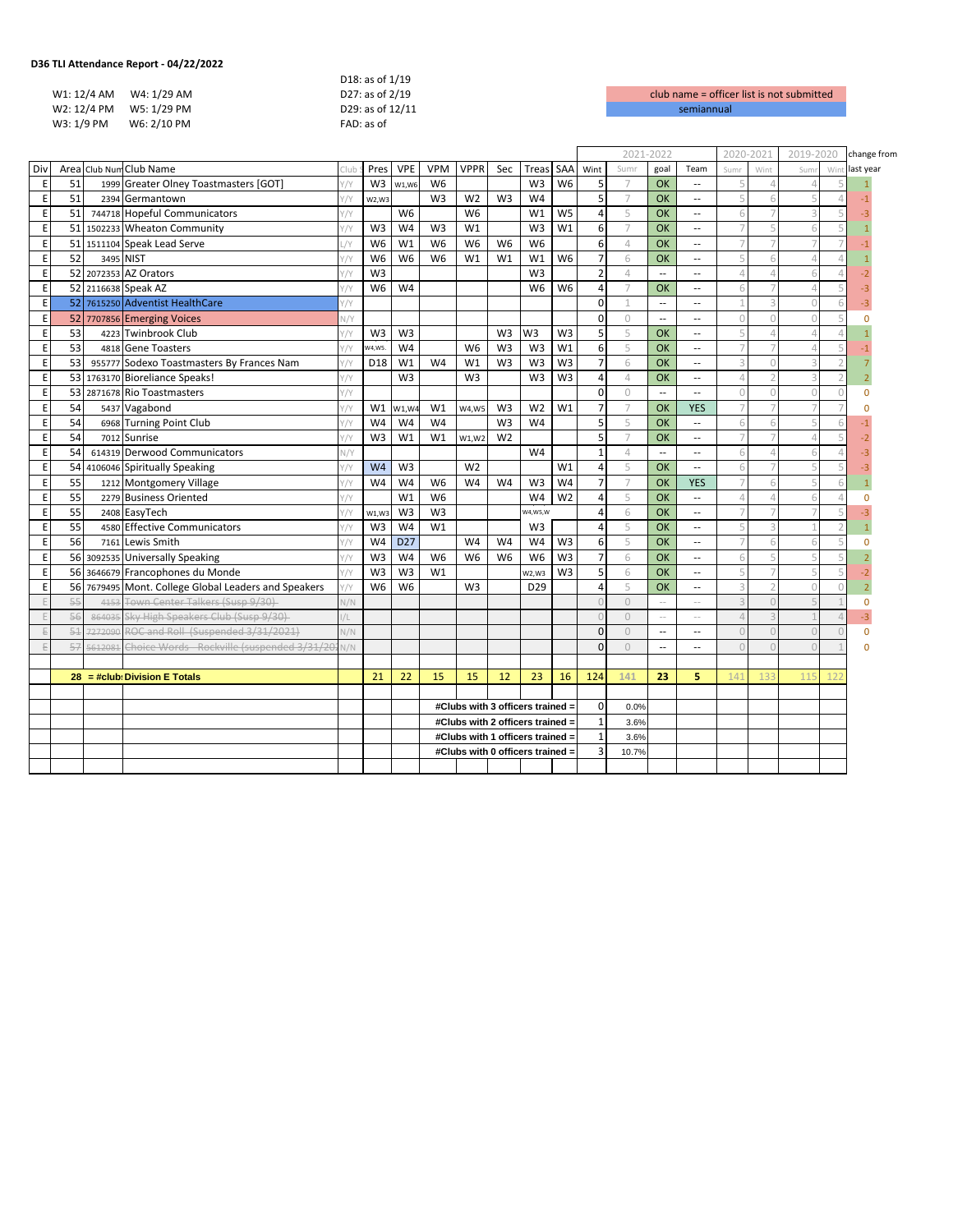| , iti Attendance Report - 04/22/2022 |                  |                    |
|--------------------------------------|------------------|--------------------|
|                                      | D18: as of 1/19  |                    |
| W1: 12/4 AM W4: 1/29 AM              | D27: as of 2/19  | club name = office |
| W2: 12/4 PM W5: 1/29 PM              | D29: as of 12/11 | semiannual         |
| W6: 2/10 PM<br>W3: 1/9 PM            | $FAD:$ as of     |                    |
|                                      |                  |                    |

|            |    |           |                                                      |            |                |                 |                |                                  |                |                  |                | 2021-2022      |                |                          | 2020-2021                   |                         | 2019-2020 |        | change from |           |
|------------|----|-----------|------------------------------------------------------|------------|----------------|-----------------|----------------|----------------------------------|----------------|------------------|----------------|----------------|----------------|--------------------------|-----------------------------|-------------------------|-----------|--------|-------------|-----------|
| Div        |    |           | Area Club Num Club Name                              | Club       | Pres           | <b>VPE</b>      | <b>VPM</b>     | <b>VPPR</b>                      | Sec            | Treas            | SAA            | Wint           | Sumr           | goal                     | Team                        | Sumr                    | Wint      | Sum    | Win         | last year |
| E          | 51 |           | 1999 Greater Olney Toastmasters [GOT]                |            | W <sub>3</sub> | W1,W6           | W <sub>6</sub> |                                  |                | W <sub>3</sub>   | W <sub>6</sub> | 5              | 7              | OK                       | $\sim$                      |                         |           |        |             |           |
| E          | 51 |           | 2394 Germantown                                      |            | W2, W3         |                 | W <sub>3</sub> | W <sub>2</sub>                   | W <sub>3</sub> | W4               |                | 5              | $\overline{7}$ | <b>OK</b>                | $\sim$ $\sim$               | 5                       |           |        |             |           |
| E          | 51 |           | 744718 Hopeful Communicators                         | Y/Y        |                | W <sub>6</sub>  |                | W <sub>6</sub>                   |                | W1               | W <sub>5</sub> | 4              | 5              | OK                       | $\sim$ $\sim$               | 6                       |           |        |             |           |
| E          |    |           | 51 1502233 Wheaton Community                         | //Y        | W <sub>3</sub> | W <sub>4</sub>  | W <sub>3</sub> | W1                               |                | W <sub>3</sub>   | W1             | 6              | $\overline{7}$ | OK                       | $\sim$ $\sim$               |                         |           |        |             |           |
| E          |    |           | 51 1511104 Speak Lead Serve                          | $\sqrt{}$  | W <sub>6</sub> | W1              | W <sub>6</sub> | W <sub>6</sub>                   | W <sub>6</sub> | W <sub>6</sub>   |                | 6              | $\varDelta$    | OK                       | $\sim$                      | $\overline{7}$          |           |        |             |           |
| E          | 52 | 3495 NIST |                                                      |            | W <sub>6</sub> | W <sub>6</sub>  | W <sub>6</sub> | W1                               | W1             | W1               | W <sub>6</sub> | $\overline{7}$ | 6              | OK                       | $\sim$                      | 5                       |           |        |             |           |
| E          |    |           | 52 2072353 AZ Orators                                | Y/Y        | W <sub>3</sub> |                 |                |                                  |                | W <sub>3</sub>   |                | $\overline{2}$ | $\varDelta$    | $\overline{\phantom{a}}$ | $\sim$                      | $\mathcal{L}$           |           |        |             |           |
| E          |    |           | 52 2116638 Speak AZ                                  |            | W <sub>6</sub> | W <sub>4</sub>  |                |                                  |                | W <sub>6</sub>   | W <sub>6</sub> | 4              | $\overline{7}$ | OK                       | $\sim$                      | 6                       |           |        |             |           |
| E          |    |           | 52 7615250 Adventist HealthCare                      |            |                |                 |                |                                  |                |                  |                | $\mathbf 0$    | $\mathbf{1}$   | $\overline{a}$           | $\sim$ $\sim$               | $\mathbf 1$             |           | $\cap$ |             |           |
| E          |    |           | 52 7707856 Emerging Voices                           | V/Y        |                |                 |                |                                  |                |                  |                | $\mathbf 0$    | 0              | $\overline{\phantom{a}}$ | $\sim$ $\sim$               | $\Omega$                |           | U      |             | $\Omega$  |
| E          | 53 |           | 4223 Twinbrook Club                                  |            | W <sub>3</sub> | W <sub>3</sub>  |                |                                  | W <sub>3</sub> | W <sub>3</sub>   | W <sub>3</sub> | 5              | 5              | <b>OK</b>                | $\sim$ $\sim$               | 5                       |           |        |             |           |
| E          | 53 |           | 4818 Gene Toasters                                   | Y/Y        | W4,W5.         | W4              |                | W <sub>6</sub>                   | W <sub>3</sub> | W <sub>3</sub>   | W <sub>1</sub> | 6              | 5              | OK                       | $\sim$                      | $\overline{7}$          |           |        |             |           |
| E          | 53 |           | 955777 Sodexo Toastmasters By Frances Nam            | Y/Y        | D18            | W1              | W4             | W1                               | W <sub>3</sub> | W <sub>3</sub>   | W <sub>3</sub> | $\overline{7}$ | 6              | OK                       | $\sim$                      | 3                       |           |        |             |           |
| E          |    |           | 53 1763170 Bioreliance Speaks!                       | Y/Y        |                | W <sub>3</sub>  |                | W <sub>3</sub>                   |                | W <sub>3</sub>   | W <sub>3</sub> | 4              | $\overline{4}$ | OK                       | $\sim$ $\sim$               | $\Delta$                |           |        |             |           |
| E          |    |           | 53 2871678 Rio Toastmasters                          |            |                |                 |                |                                  |                |                  |                | $\mathbf 0$    | $\circ$        | $\sim$                   | $\sim$ $\sim$               | $\Omega$                |           |        | $\bigcap$   | O         |
| E          | 54 |           | 5437 Vagabond                                        |            | W1             | W1, W4          | W1             | W4,W5                            | W <sub>3</sub> | W <sub>2</sub>   | W <sub>1</sub> | $\overline{7}$ | $\overline{7}$ | OK                       | <b>YES</b>                  |                         |           |        |             |           |
| E          | 54 |           | 6968 Turning Point Club                              | Y/Y        | W <sub>4</sub> | W4              | W <sub>4</sub> |                                  | W <sub>3</sub> | W4               |                | 5              | 5              | OK                       | $\sim$ $\sim$               | 6                       |           |        |             |           |
| E          | 54 |           | 7012 Sunrise                                         |            | W <sub>3</sub> | W1              | W1             | W1,W2                            | W <sub>2</sub> |                  |                | 5              | $\overline{7}$ | OK                       | $\sim$                      |                         |           |        |             |           |
| E          | 54 |           | 614319 Derwood Communicators                         | N/Y        |                |                 |                |                                  |                | W <sub>4</sub>   |                | $\mathbf 1$    | $\overline{4}$ | $\sim$                   | $\sim$                      | 6                       |           |        |             |           |
| E          | 54 |           | 4106046 Spiritually Speaking                         |            | W <sub>4</sub> | W <sub>3</sub>  |                | W <sub>2</sub>                   |                |                  | W <sub>1</sub> | 4              | 5              | OK                       | $\mathcal{L}_{\mathcal{A}}$ | 6                       |           |        |             |           |
| E          | 55 |           | 1212 Montgomery Village                              | Y/Y        | W <sub>4</sub> | W <sub>4</sub>  | W <sub>6</sub> | W4                               | W4             | W <sub>3</sub>   | W <sub>4</sub> | $\overline{7}$ | $\overline{7}$ | OK                       | <b>YES</b>                  |                         |           |        |             |           |
| E          | 55 |           | 2279 Business Oriented                               | Y/Y        |                | W1              | W <sub>6</sub> |                                  |                | W4               | W <sub>2</sub> | 4              | 5              | OK                       | $\sim$                      | $\Delta$                |           |        | $\Delta$    |           |
| E          | 55 |           | 2408 EasyTech                                        |            | W1,W3          | W <sub>3</sub>  | W <sub>3</sub> |                                  |                | <b>N4, W5, W</b> |                | 4              | 6              | OK                       | $\sim$ $\sim$               |                         |           |        |             |           |
| E          | 55 |           | 4580 Effective Communicators                         | $1/\gamma$ | W <sub>3</sub> | W4              | W1             |                                  |                | W3               |                | $\overline{4}$ | 5              | OK                       | $\sim$                      | 5                       |           |        |             |           |
| E          | 56 |           | 7161 Lewis Smith                                     |            | W <sub>4</sub> | D <sub>27</sub> |                | W <sub>4</sub>                   | W <sub>4</sub> | W <sub>4</sub>   | W <sub>3</sub> | 6              | 5              | OK                       | $\sim$                      |                         |           |        |             | n         |
| E          |    |           | 56 3092535 Universally Speaking                      | Y/Y        | W <sub>3</sub> | W <sub>4</sub>  | W <sub>6</sub> | W <sub>6</sub>                   | W <sub>6</sub> | W <sub>6</sub>   | W <sub>3</sub> | $\overline{7}$ | 6              | OK                       | $\sim$                      | 6                       |           |        |             |           |
| E          |    |           | 56 3646679 Francophones du Monde                     | Y/Y        | W <sub>3</sub> | W <sub>3</sub>  | W1             |                                  |                | W2,W3            | W <sub>3</sub> | 5              | 6              | OK                       | $\sim$                      | 5                       |           |        |             |           |
| E          |    |           | 56 7679495 Mont. College Global Leaders and Speakers | Y/Y        | W <sub>6</sub> | W <sub>6</sub>  |                | W <sub>3</sub>                   |                | D <sub>29</sub>  |                | 4              | 5              | OK                       | $\sim$ $\sim$               | $\overline{\mathbf{3}}$ |           | $\cap$ | $\bigcap$   |           |
| F          | 55 | 4153      | <b>Town Center Talkers (Susp 9/30)</b>               | N/N        |                |                 |                |                                  |                |                  |                | n              | $\circ$        | $\sim$                   | $\sim$ $-$                  | $\overline{a}$          |           |        |             | $\Omega$  |
| F          | 56 | 864035    | Sky High Speakers Club (Susp 9/30)                   |            |                |                 |                |                                  |                |                  |                |                | $\Omega$       | $\sim$ $-$               | $\sim$ $-$                  |                         |           |        |             |           |
| 后          | 51 | 7272090   | ROC and Roll (Suspended 3/31/2021)                   | N/N        |                |                 |                |                                  |                |                  |                | $\mathbf{0}$   | $\cup$         | $\overline{\phantom{a}}$ | $\sim$                      | $\cap$                  |           | $\cap$ | $\cap$      | $\Omega$  |
| $\sqrt{2}$ | 57 | 5612081   | Choice Words - Rockville (suspended 3/31/20          | N/N        |                |                 |                |                                  |                |                  |                | $\Omega$       | $\Omega$       | $\overline{\phantom{a}}$ | $\sim$                      | $\bigcap$               |           |        |             |           |
|            |    |           |                                                      |            |                |                 |                |                                  |                |                  |                |                |                |                          |                             |                         |           |        |             |           |
|            |    |           | $28 = #club: Division E Totals$                      |            | 21             | 22              | 15             | 15                               | 12             | 23               | 16             | 124            | 141            | 23                       | 5                           | 141                     | 133       | 115    |             |           |
|            |    |           |                                                      |            |                |                 |                |                                  |                |                  |                |                |                |                          |                             |                         |           |        |             |           |
|            |    |           |                                                      |            |                |                 |                | #Clubs with 3 officers trained = |                |                  |                | 0              | 0.0%           |                          |                             |                         |           |        |             |           |
|            |    |           |                                                      |            |                |                 |                | #Clubs with 2 officers trained = |                |                  |                | $\mathbf{1}$   | 3.6%           |                          |                             |                         |           |        |             |           |
|            |    |           |                                                      |            |                |                 |                | #Clubs with 1 officers trained = |                |                  |                | $\mathbf{1}$   | 3.6%           |                          |                             |                         |           |        |             |           |
|            |    |           |                                                      |            |                |                 |                | #Clubs with 0 officers trained = |                |                  |                | 3              | 10.7%          |                          |                             |                         |           |        |             |           |
|            |    |           |                                                      |            |                |                 |                |                                  |                |                  |                |                |                |                          |                             |                         |           |        |             |           |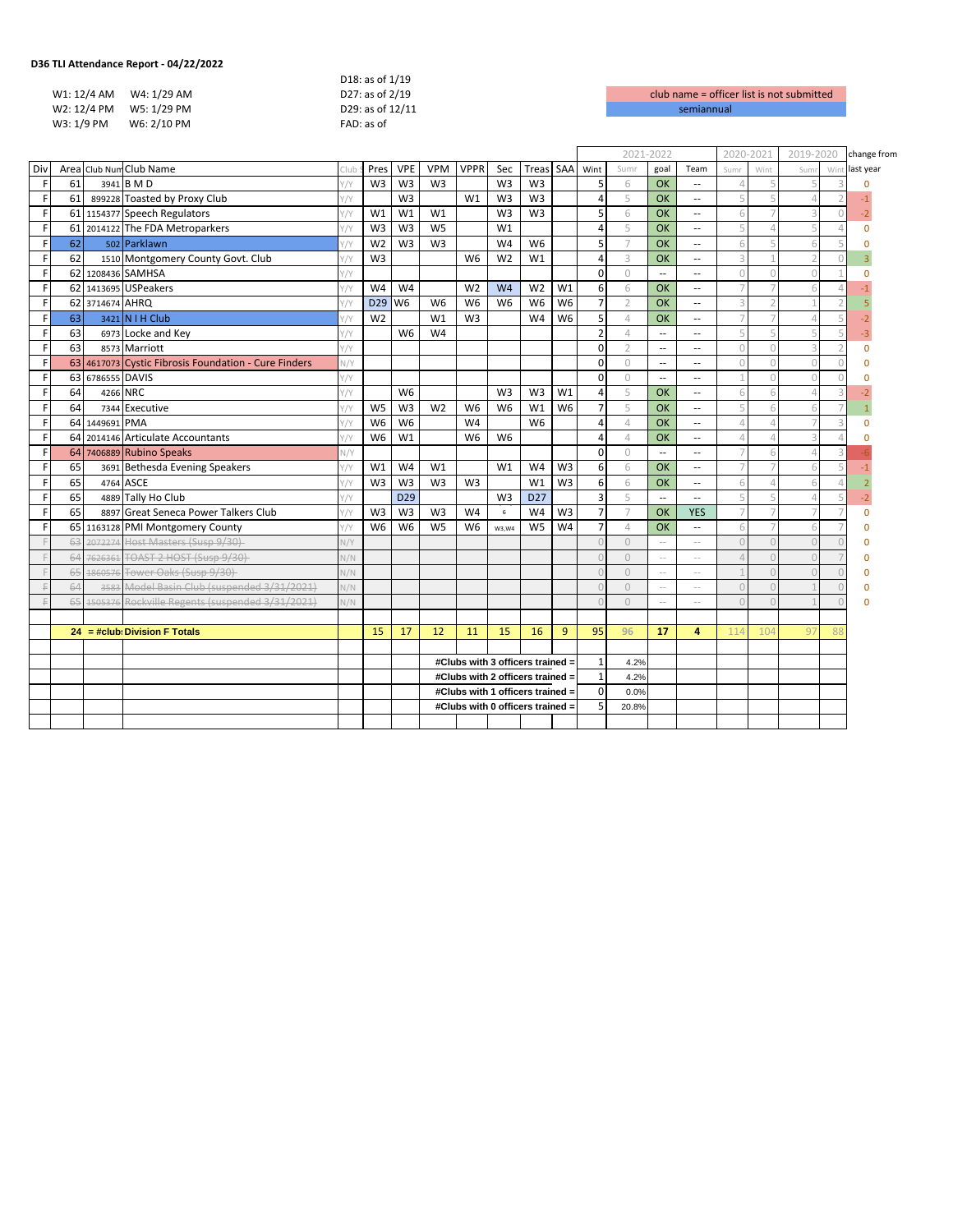|            |                         | D18: as of 1/19  |                    |
|------------|-------------------------|------------------|--------------------|
|            | W1: 12/4 AM W4: 1/29 AM | D27: as of 2/19  | club name = office |
|            | W2: 12/4 PM W5: 1/29 PM | D29: as of 12/11 | semiannual         |
| W3: 1/9 PM | W6: 2/10 PM             | FAD: as of       |                    |

|             |    |                  |                                                      |              |                 |                 |                |                |                |                                  |                |                |                | 2021-2022                |                          | 2020-2021       |      | 2019-2020                |           | change from |
|-------------|----|------------------|------------------------------------------------------|--------------|-----------------|-----------------|----------------|----------------|----------------|----------------------------------|----------------|----------------|----------------|--------------------------|--------------------------|-----------------|------|--------------------------|-----------|-------------|
| Div         |    |                  | Area Club Num Club Name                              |              | Pres            | <b>VPE</b>      | <b>VPM</b>     | <b>VPPR</b>    | Sec            | Treas                            | SAA            | Wint           | Sumi           | goal                     | Team                     | Sum             | Wint | Sum                      | Win       | last year   |
| $\mathsf F$ | 61 |                  | 3941 B M D                                           |              | W <sub>3</sub>  | W <sub>3</sub>  | W <sub>3</sub> |                | W <sub>3</sub> | W <sub>3</sub>                   |                | 5              | 6              | OK                       | $\overline{a}$           |                 | 5    | 5                        |           |             |
| F           | 61 |                  | 899228 Toasted by Proxy Club                         |              |                 | W <sub>3</sub>  |                | W1             | W <sub>3</sub> | W <sub>3</sub>                   |                | $\overline{4}$ | 5              | OK                       | $\sim$ $\sim$            |                 |      | $\Delta$                 |           |             |
| F           |    |                  | 61 1154377 Speech Regulators                         |              | W1              | W <sub>1</sub>  | W1             |                | W <sub>3</sub> | W <sub>3</sub>                   |                | 5              | 6              | OK                       | $\sim$ $\sim$            |                 |      | 3                        | $\bigcap$ | $-2$        |
| F           |    |                  | 61 2014122 The FDA Metroparkers                      |              | W <sub>3</sub>  | W <sub>3</sub>  | W <sub>5</sub> |                | W1             |                                  |                | 4              | 5              | OK                       | $\sim$ $-$               |                 |      | 5                        |           | $\Omega$    |
| F           | 62 |                  | 502 Parklawn                                         |              | W <sub>2</sub>  | W <sub>3</sub>  | W <sub>3</sub> |                | W <sub>4</sub> | W <sub>6</sub>                   |                | 5              | $\overline{7}$ | OK                       | $\sim$ $-$               |                 |      | 6                        |           |             |
| F           | 62 |                  | 1510 Montgomery County Govt. Club                    |              | W <sub>3</sub>  |                 |                | W <sub>6</sub> | W <sub>2</sub> | W1                               |                | 4              | 3              | OK                       | $\sim$ $\sim$            |                 |      | $\overline{\phantom{a}}$ |           |             |
| F           |    |                  | 62 1208436 SAMHSA                                    | $1/\nu$      |                 |                 |                |                |                |                                  |                | $\Omega$       | $\Omega$       | $\overline{\phantom{a}}$ | $\overline{a}$           |                 |      | $\Omega$                 |           | O           |
| F           |    |                  | 62 1413695 USPeakers                                 | $1/\sqrt{2}$ | W4              | W <sub>4</sub>  |                | W <sub>2</sub> | W <sub>4</sub> | W <sub>2</sub>                   | W1             | 6              | 6              | OK                       | $\overline{a}$           |                 |      | 6                        |           |             |
| F           |    | 62 3714674 AHRQ  |                                                      | $\sqrt{}$    | D <sub>29</sub> | W <sub>6</sub>  | W <sub>6</sub> | W <sub>6</sub> | W <sub>6</sub> | W <sub>6</sub>                   | W <sub>6</sub> | $\overline{7}$ | $\overline{2}$ | OK                       | $\sim$ $\sim$            |                 |      |                          |           |             |
| F           | 63 |                  | 3421 N   H Club                                      |              | W <sub>2</sub>  |                 | W1             | W <sub>3</sub> |                | W4                               | W <sub>6</sub> | 5              | $\overline{4}$ | OK                       | $\sim$ $\sim$            |                 |      | $\Delta$                 |           |             |
| F           | 63 |                  | 6973 Locke and Key                                   |              |                 | W <sub>6</sub>  | W4             |                |                |                                  |                | $\overline{2}$ | $\varDelta$    | $\overline{a}$           | $\sim$ $\sim$            |                 |      | 5                        |           |             |
| F           | 63 |                  | 8573 Marriott                                        | $1/\sqrt{2}$ |                 |                 |                |                |                |                                  |                | $\mathbf 0$    | $\mathfrak{D}$ | $\overline{a}$           | $\sim$ $\sim$            |                 |      | $\overline{a}$           |           | $\Omega$    |
| F           |    |                  | 63 4617073 Cystic Fibrosis Foundation - Cure Finders | N/Y          |                 |                 |                |                |                |                                  |                | $\mathbf 0$    | $\Omega$       | $\ddotsc$                | $\sim$ $\sim$            |                 |      | $\overline{0}$           |           | $\Omega$    |
| F           |    | 63 6786555 DAVIS |                                                      | Y/Y          |                 |                 |                |                |                |                                  |                | $\Omega$       | $\Omega$       | $\ddotsc$                | $\sim$ $\sim$            |                 |      | $\overline{0}$           |           | n           |
| F           | 64 |                  | 4266 NRC                                             | $\sqrt{V}$   |                 | W <sub>6</sub>  |                |                | W <sub>3</sub> | W <sub>3</sub>                   | W1             | $\overline{4}$ | 5              | OK                       | $\sim$ $\sim$            |                 |      | $\Delta$                 |           |             |
| F           | 64 |                  | 7344 Executive                                       | $1/\sqrt{2}$ | W <sub>5</sub>  | W <sub>3</sub>  | W <sub>2</sub> | W <sub>6</sub> | W <sub>6</sub> | W1                               | W <sub>6</sub> | $\overline{7}$ | 5              | OK                       | $\overline{\phantom{a}}$ |                 |      | 6                        |           |             |
| F           |    | 64 1449691 PMA   |                                                      |              | W <sub>6</sub>  | W <sub>6</sub>  |                | W <sub>4</sub> |                | W <sub>6</sub>                   |                | 4              | $\overline{4}$ | OK                       | $\sim$ $\sim$            |                 |      |                          |           | n           |
| F           |    |                  | 64 2014146 Articulate Accountants                    |              | W <sub>6</sub>  | W1              |                | W <sub>6</sub> | W <sub>6</sub> |                                  |                | $\overline{4}$ | $\overline{4}$ | OK                       | $\sim$ $\sim$            |                 |      | 3                        |           |             |
| F           | 64 |                  | 7406889 Rubino Speaks                                |              |                 |                 |                |                |                |                                  |                | $\mathbf 0$    | $\circ$        | $\overline{a}$           | $\overline{\phantom{a}}$ |                 | 6    | $\Delta$                 |           |             |
| F           | 65 |                  | 3691 Bethesda Evening Speakers                       |              | W1              | W <sub>4</sub>  | W1             |                | W1             | W4                               | W <sub>3</sub> | 6              | 6              | OK                       | $\sim$ $-$               |                 |      | 6                        |           |             |
| F           | 65 |                  | 4764 ASCE                                            |              | W <sub>3</sub>  | W <sub>3</sub>  | W <sub>3</sub> | W <sub>3</sub> |                | W1                               | W <sub>3</sub> | 6              | 6              | OK                       | $\sim$ $\sim$            |                 |      | 6                        |           |             |
| F           | 65 |                  | 4889 Tally Ho Club                                   | 1/V          |                 | D <sub>29</sub> |                |                | W <sub>3</sub> | D <sub>27</sub>                  |                | 3              | 5              | $\sim$                   | $\sim$ $\sim$            |                 |      | $\Delta$                 |           |             |
| F           | 65 |                  | 8897 Great Seneca Power Talkers Club                 | Y/Y          | W <sub>3</sub>  | W <sub>3</sub>  | W <sub>3</sub> | W <sub>4</sub> | $\,$ 6 $\,$    | W4                               | W <sub>3</sub> | $\overline{7}$ | $\overline{7}$ | OK                       | <b>YES</b>               |                 |      |                          |           | O           |
| F           |    |                  | 65 1163128 PMI Montgomery County                     | Y/Y          | W <sub>6</sub>  | W <sub>6</sub>  | W <sub>5</sub> | W <sub>6</sub> | W3.W4          | W <sub>5</sub>                   | W <sub>4</sub> | $\overline{7}$ | $\varDelta$    | OK                       | $\sim$ $\sim$            |                 |      | 6                        |           | O           |
|             | 63 |                  | 2072274 Host Masters (Susp 9/30)                     | V/Y          |                 |                 |                |                |                |                                  |                |                | $\Omega$       | $\sim$ $\sim$            | $\sim$ $\sim$            |                 |      | $\bigcap$                |           | Ò           |
|             | 64 |                  | 7626361 TOAST 2 HOST (Susp 9/30)                     | V/N          |                 |                 |                |                |                |                                  |                |                | $\cup$         | $\sim$ $-$               | $\sim$ $-$               |                 |      | $\bigcap$                |           | $\Omega$    |
|             | 65 |                  | 1860576 Tower Oaks (Susp 9/30)                       | N/N          |                 |                 |                |                |                |                                  |                | $\sqrt{ }$     | $\Omega$       | $\sim$ $-$               | $\sim$ $-$               |                 |      | $\Omega$                 |           | $\Omega$    |
|             | 64 | 3583             | Model Basin Club (suspended 3/31/2021)               | N/N          |                 |                 |                |                |                |                                  |                |                | $\Omega$       | $\sim$                   | $\sim$ $\sim$            |                 |      |                          |           | $\Omega$    |
| F           | 65 |                  | 1505376 Rockville Regents (suspended 3/31/2021)      | N/N          |                 |                 |                |                |                |                                  |                | $\sqrt{ }$     | $\Omega$       | $\sim$                   | $\sim$                   |                 |      |                          |           |             |
|             |    |                  |                                                      |              |                 |                 |                |                |                |                                  |                |                |                |                          |                          |                 |      |                          |           |             |
|             |    |                  | $24 = #club: Division F Totals$                      |              | 15              | 17              | 12             | 11             | 15             | 16                               | 9              | 95             | 96             | 17                       | 4                        | 11 <sup>2</sup> | 104  | 97                       | 88        |             |
|             |    |                  |                                                      |              |                 |                 |                |                |                |                                  |                |                |                |                          |                          |                 |      |                          |           |             |
|             |    |                  |                                                      |              |                 |                 |                |                |                | #Clubs with 3 officers trained = |                | $\mathbf{1}$   | 4.2%           |                          |                          |                 |      |                          |           |             |
|             |    |                  |                                                      |              |                 |                 |                |                |                | #Clubs with 2 officers trained = |                | $\mathbf{1}$   | 4.2%           |                          |                          |                 |      |                          |           |             |
|             |    |                  |                                                      |              |                 |                 |                |                |                | #Clubs with 1 officers trained = |                | $\Omega$       | 0.0%           |                          |                          |                 |      |                          |           |             |
|             |    |                  |                                                      |              |                 |                 |                |                |                | #Clubs with 0 officers trained = |                | 5              | 20.8%          |                          |                          |                 |      |                          |           |             |
|             |    |                  |                                                      |              |                 |                 |                |                |                |                                  |                |                |                |                          |                          |                 |      |                          |           |             |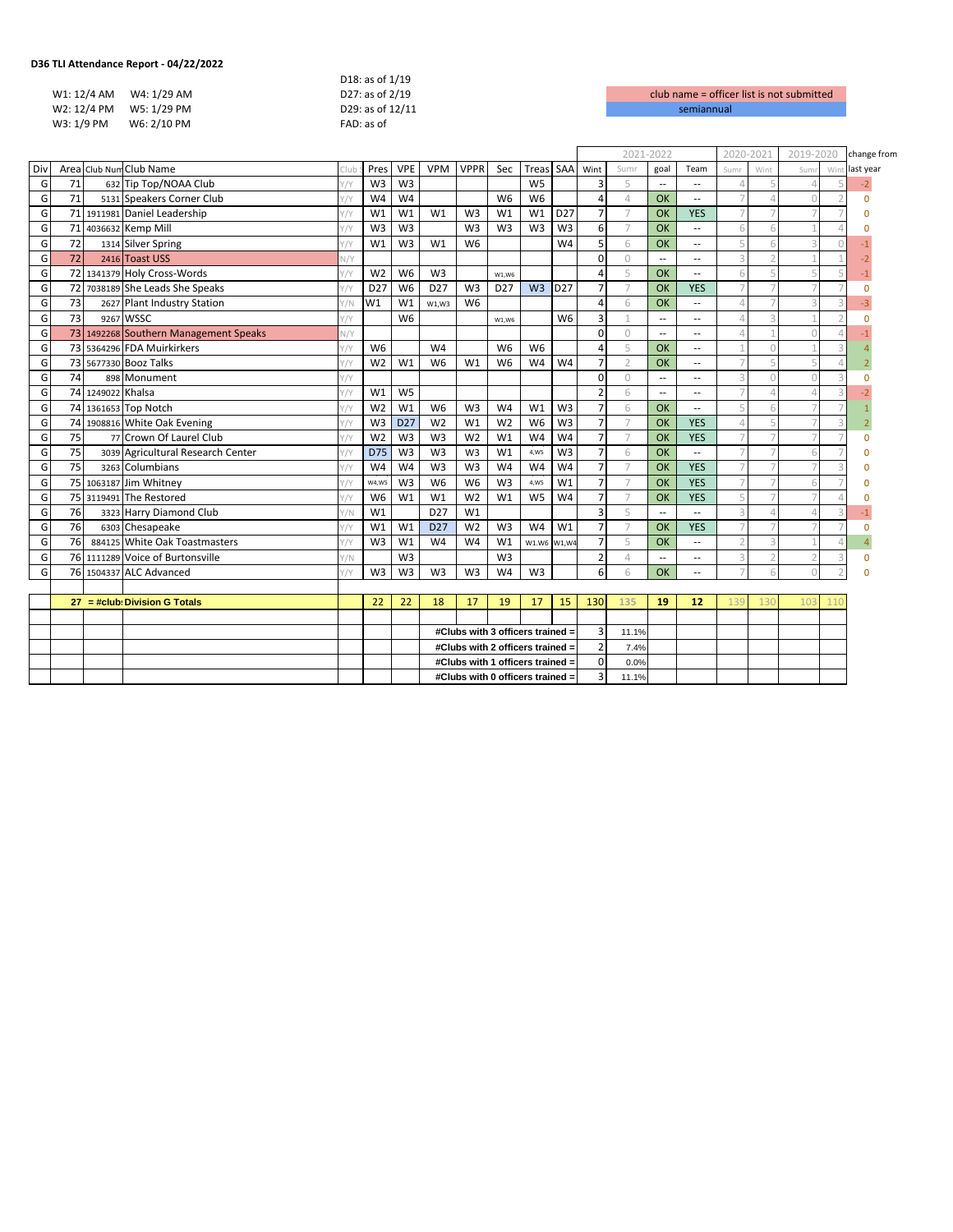| TLI Attendance Report - 04/22/2022 - |             |                  |                    |
|--------------------------------------|-------------|------------------|--------------------|
|                                      |             | D18: as of 1/19  |                    |
| W1: 12/4 AM W4: 1/29 AM              |             | D27: as of 2/19  | club name = office |
| W2: 12/4 PM W5: 1/29 PM              |             | D29: as of 12/11 | semiannual         |
| W3: 1/9 PM                           | W6: 2/10 PM | FAD: as of       |                    |
|                                      |             |                  |                    |

|     |                                 |                   |                                       |      |                 |                 |                 |                |                                  |                |                 |                | 2021-2022      |                          | 2020-2021                |                         | 2019-2020       |     | change from |           |
|-----|---------------------------------|-------------------|---------------------------------------|------|-----------------|-----------------|-----------------|----------------|----------------------------------|----------------|-----------------|----------------|----------------|--------------------------|--------------------------|-------------------------|-----------------|-----|-------------|-----------|
| Div |                                 |                   | Area Club Num Club Name               | :Tub | Pres            | <b>VPE</b>      | <b>VPM</b>      | <b>VPPR</b>    | Sec                              | Treas SAA      |                 | Wint           | Sumr           | goal                     | Team                     | Sumr                    | Wint            | Sum | Win         | last year |
| G   | 71                              |                   | 632 Tip Top/NOAA Club                 | Y/Y  | W <sub>3</sub>  | W <sub>3</sub>  |                 |                |                                  | W <sub>5</sub> |                 | 3              | 5              | $\overline{\phantom{a}}$ | $\sim$ $-$               |                         |                 |     |             | $-2$      |
| G   | 71                              |                   | 5131 Speakers Corner Club             |      | W <sub>4</sub>  | W <sub>4</sub>  |                 |                | W <sub>6</sub>                   | W <sub>6</sub> |                 | $\overline{4}$ | $\overline{4}$ | OK                       | $\sim$ $\sim$            | $\overline{7}$          |                 |     |             | $\Omega$  |
| G   |                                 |                   | 71 1911981 Daniel Leadership          |      | W1              | W1              | W1              | W <sub>3</sub> | W1                               | W1             | D <sub>27</sub> | $\overline{7}$ | $\overline{7}$ | OK                       | <b>YES</b>               |                         |                 |     |             |           |
| G   |                                 |                   | 71 4036632 Kemp Mill                  |      | W <sub>3</sub>  | W <sub>3</sub>  |                 | W <sub>3</sub> | W <sub>3</sub>                   | W <sub>3</sub> | W <sub>3</sub>  | 6              | $\overline{7}$ | OK                       | $\sim$                   | 6                       |                 |     |             |           |
| G   | 72                              |                   | 1314 Silver Spring                    |      | W1              | W <sub>3</sub>  | W1              | W <sub>6</sub> |                                  |                | W <sub>4</sub>  | 5              | 6              | OK                       | $\sim$ $-$               | 5                       |                 |     |             |           |
| G   | 72                              |                   | 2416 Toast USS                        | N/Y  |                 |                 |                 |                |                                  |                |                 | $\Omega$       | $\Omega$       | $\overline{\phantom{a}}$ | $\overline{a}$           | 3                       |                 |     |             |           |
| G   |                                 |                   | 72 1341379 Holy Cross-Words           | Y/Y  | W <sub>2</sub>  | W <sub>6</sub>  | W <sub>3</sub>  |                | W1.W6                            |                |                 | 4              | 5              | OK                       | $\overline{a}$           | 6                       |                 |     |             |           |
| G   |                                 |                   | 72 7038189 She Leads She Speaks       | V/V  | D <sub>27</sub> | W <sub>6</sub>  | D <sub>27</sub> | W <sub>3</sub> | D <sub>27</sub>                  | W <sub>3</sub> | D <sub>27</sub> | $\overline{7}$ | $\overline{7}$ | OK                       | <b>YES</b>               | $\overline{7}$          |                 |     |             | $\Omega$  |
| G   | 73                              |                   | 2627 Plant Industry Station           | Y/N  | W1              | W1              | W1.W3           | W <sub>6</sub> |                                  |                |                 | 4              | 6              | OK                       | $\sim$                   | $\Delta$                |                 |     |             |           |
| G   | 73                              |                   | 9267 WSSC                             |      |                 | W <sub>6</sub>  |                 |                | W1,W6                            |                | W <sub>6</sub>  | 3              |                | $\overline{\phantom{a}}$ | $\overline{\phantom{a}}$ |                         |                 |     |             |           |
| G   |                                 |                   | 73 1492268 Southern Management Speaks | N/Y  |                 |                 |                 |                |                                  |                |                 | $\Omega$       | $\Omega$       | $\overline{\phantom{a}}$ | $\sim$ $\sim$            |                         |                 |     |             |           |
| G   |                                 |                   | 73 5364296 FDA Muirkirkers            | Y/Y  | W <sub>6</sub>  |                 | W4              |                | W <sub>6</sub>                   | W <sub>6</sub> |                 | 4              | 5              | OK                       | $\sim$ $\sim$            |                         |                 |     |             |           |
| G   |                                 |                   | 73 5677330 Booz Talks                 | Y/Y  | W <sub>2</sub>  | W1              | W <sub>6</sub>  | W1             | W <sub>6</sub>                   | W <sub>4</sub> | W <sub>4</sub>  | $\overline{7}$ | $\overline{2}$ | OK                       | $\overline{a}$           |                         |                 |     |             |           |
| G   | 74                              |                   | 898 Monument                          | Y/Y  |                 |                 |                 |                |                                  |                |                 | 0              | $\cup$         | --                       | $\overline{a}$           | $\overline{a}$          |                 |     |             |           |
| G   |                                 | 74 1249022 Khalsa |                                       |      | W1              | W <sub>5</sub>  |                 |                |                                  |                |                 | $\overline{2}$ | 6              | $\overline{\phantom{a}}$ | $\overline{\phantom{a}}$ |                         |                 |     |             |           |
| G   |                                 |                   | 74 1361653 Top Notch                  | Y/Y  | W <sub>2</sub>  | W1              | W <sub>6</sub>  | W <sub>3</sub> | W <sub>4</sub>                   | W <sub>1</sub> | W <sub>3</sub>  | $\overline{7}$ | 6              | OK                       | $\sim$ $-$               | 5                       |                 |     |             |           |
| G   |                                 |                   | 74 1908816 White Oak Evening          | Y/Y  | W <sub>3</sub>  | D <sub>27</sub> | W <sub>2</sub>  | W1             | W <sub>2</sub>                   | W <sub>6</sub> | W <sub>3</sub>  | $\overline{7}$ | $\overline{7}$ | OK                       | <b>YES</b>               |                         |                 |     |             |           |
| G   | 75                              |                   | 77 Crown Of Laurel Club               | Y/Y  | W <sub>2</sub>  | W <sub>3</sub>  | W <sub>3</sub>  | W <sub>2</sub> | W1                               | W <sub>4</sub> | W4              | $\overline{7}$ | $\overline{7}$ | OK                       | <b>YES</b>               |                         |                 |     |             | $\Omega$  |
| G   | 75                              |                   | 3039 Agricultural Research Center     |      | D75             | W <sub>3</sub>  | W <sub>3</sub>  | W <sub>3</sub> | W <sub>1</sub>                   | 4,W5           | W <sub>3</sub>  | $\overline{7}$ | 6              | OK                       | u.                       | $\overline{7}$          |                 |     |             |           |
| G   | 75                              |                   | 3263 Columbians                       |      | W <sub>4</sub>  | W <sub>4</sub>  | W <sub>3</sub>  | W <sub>3</sub> | W <sub>4</sub>                   | W <sub>4</sub> | W <sub>4</sub>  | $\overline{7}$ | $\overline{7}$ | OK                       | <b>YES</b>               | $\overline{7}$          |                 |     | 3           |           |
| G   |                                 |                   | 75 1063187 Jim Whitney                |      | <b>W4,W5</b>    | W <sub>3</sub>  | W <sub>6</sub>  | W <sub>6</sub> | W <sub>3</sub>                   | 4,W5           | W <sub>1</sub>  | $\overline{7}$ | $\overline{7}$ | OK                       | <b>YES</b>               |                         |                 |     |             |           |
| G   |                                 |                   | 75 3119491 The Restored               | Y/Y  | W <sub>6</sub>  | W1              | W1              | W <sub>2</sub> | W1                               | W <sub>5</sub> | W <sub>4</sub>  | $\overline{7}$ | $\overline{7}$ | OK                       | <b>YES</b>               | 5                       |                 |     |             |           |
| G   | 76                              |                   | 3323 Harry Diamond Club               | Y/N  | W1              |                 | D <sub>27</sub> | W1             |                                  |                |                 | $\overline{3}$ | 5              | $\overline{\phantom{a}}$ | $\sim$                   | $\overline{a}$          |                 |     |             |           |
| G   | 76                              |                   | 6303 Chesapeake                       | Y/Y  | W1              | W1              | D <sub>27</sub> | W <sub>2</sub> | W <sub>3</sub>                   | W <sub>4</sub> | W1              | $\overline{7}$ | $\overline{7}$ | OK                       | <b>YES</b>               | $\overline{7}$          |                 |     |             |           |
| G   | <b>76</b>                       |                   | 884125 White Oak Toastmasters         | Y/Y  | W <sub>3</sub>  | W1              | W <sub>4</sub>  | W <sub>4</sub> | W1                               | W1.W6 W1,W4    |                 | $\overline{7}$ | 5              | OK                       | $\sim$ $\sim$            | $\overline{2}$          |                 |     |             |           |
| G   |                                 |                   | 76 1111289 Voice of Burtonsville      | Y/N  |                 | W <sub>3</sub>  |                 |                | W <sub>3</sub>                   |                |                 | $\overline{2}$ | $\varDelta$    | $\overline{\phantom{a}}$ | $\sim$ $\sim$            | $\overline{\mathbf{3}}$ |                 |     | 3           | $\Omega$  |
| G   |                                 |                   | 76 1504337 ALC Advanced               | Y/Y  | W <sub>3</sub>  | W <sub>3</sub>  | W <sub>3</sub>  | W <sub>3</sub> | W <sub>4</sub>                   | W <sub>3</sub> |                 | 6              | 6              | OK                       | $\overline{a}$           |                         |                 |     |             |           |
|     |                                 |                   |                                       |      |                 |                 |                 |                |                                  |                |                 |                |                |                          |                          |                         |                 |     |             |           |
|     | $27 = #club: Division G Totals$ |                   |                                       | 22   | 22              | 18              | 17              | 19             | 17                               | 15             | 130             | 135            | 19             | 12                       | 139                      | 130                     | 10 <sub>5</sub> |     |             |           |
|     |                                 |                   |                                       |      |                 |                 |                 |                |                                  |                |                 |                |                |                          |                          |                         |                 |     |             |           |
|     |                                 |                   |                                       |      |                 |                 |                 |                | #Clubs with 3 officers trained = |                |                 | 3              | 11.1%          |                          |                          |                         |                 |     |             |           |
|     |                                 |                   |                                       |      |                 |                 |                 |                | #Clubs with 2 officers trained = |                |                 | $\overline{2}$ | 7.4%           |                          |                          |                         |                 |     |             |           |
|     |                                 |                   |                                       |      |                 |                 |                 |                | #Clubs with 1 officers trained = |                |                 | 0              | 0.0%           |                          |                          |                         |                 |     |             |           |
|     |                                 |                   |                                       |      |                 |                 |                 |                | #Clubs with 0 officers trained = |                |                 | 3              | 11.1%          |                          |                          |                         |                 |     |             |           |